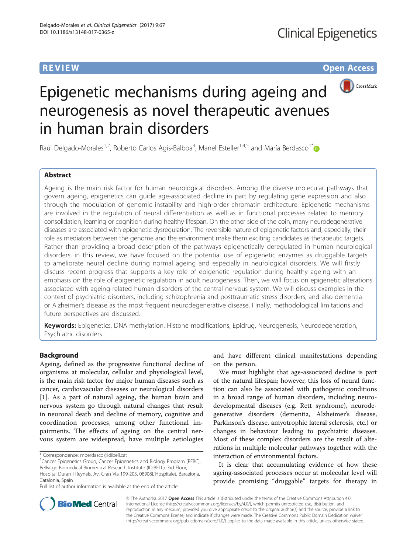**REVIEW CONSTRUCTION CONSTRUCTION CONSTRUCTS** 



# Epigenetic mechanisms during ageing and neurogenesis as novel therapeutic avenues in human brain disorders

Raúl Delgado-Morales<sup>1,2</sup>, Roberto Carlos Agís-Balboa<sup>3</sup>, Manel Esteller<sup>1,4,5</sup> and María Berdasco<sup>1\*</sup>

## Abstract

Ageing is the main risk factor for human neurological disorders. Among the diverse molecular pathways that govern ageing, epigenetics can guide age-associated decline in part by regulating gene expression and also through the modulation of genomic instability and high-order chromatin architecture. Epigenetic mechanisms are involved in the regulation of neural differentiation as well as in functional processes related to memory consolidation, learning or cognition during healthy lifespan. On the other side of the coin, many neurodegenerative diseases are associated with epigenetic dysregulation. The reversible nature of epigenetic factors and, especially, their role as mediators between the genome and the environment make them exciting candidates as therapeutic targets. Rather than providing a broad description of the pathways epigenetically deregulated in human neurological disorders, in this review, we have focused on the potential use of epigenetic enzymes as druggable targets to ameliorate neural decline during normal ageing and especially in neurological disorders. We will firstly discuss recent progress that supports a key role of epigenetic regulation during healthy ageing with an emphasis on the role of epigenetic regulation in adult neurogenesis. Then, we will focus on epigenetic alterations associated with ageing-related human disorders of the central nervous system. We will discuss examples in the context of psychiatric disorders, including schizophrenia and posttraumatic stress disorders, and also dementia or Alzheimer's disease as the most frequent neurodegenerative disease. Finally, methodological limitations and future perspectives are discussed.

Keywords: Epigenetics, DNA methylation, Histone modifications, Epidrug, Neurogenesis, Neurodegeneration, Psychiatric disorders

## Background

Ageing, defined as the progressive functional decline of organisms at molecular, cellular and physiological level, is the main risk factor for major human diseases such as cancer, cardiovascular diseases or neurological disorders [[1\]](#page-12-0). As a part of natural ageing, the human brain and nervous system go through natural changes that result in neuronal death and decline of memory, cognitive and coordination processes, among other functional impairments. The effects of ageing on the central nervous system are widespread, have multiple aetiologies

<sup>1</sup> Cancer Epigenetics Group, Cancer Epigenetics and Biology Program (PEBC), Bellvitge Biomedical Biomedical Research Institute (IDIBELL), 3rd Floor, Hospital Duran i Reynals, Av. Gran Via 199-203, 08908L'Hospitalet, Barcelona,

Catalonia, Spain

Full list of author information is available at the end of the article

and have different clinical manifestations depending on the person.

We must highlight that age-associated decline is part of the natural lifespan; however, this loss of neural function can also be associated with pathogenic conditions in a broad range of human disorders, including neurodevelopmental diseases (e.g. Rett syndrome), neurodegenerative disorders (dementia, Alzheimer's disease, Parkinson's disease, amyotrophic lateral sclerosis, etc.) or changes in behaviour leading to psychiatric diseases. Most of these complex disorders are the result of alterations in multiple molecular pathways together with the interaction of environmental factors.

It is clear that accumulating evidence of how these ageing-associated processes occur at molecular level will provide promising "druggable" targets for therapy in



© The Author(s). 2017 **Open Access** This article is distributed under the terms of the Creative Commons Attribution 4.0 International License [\(http://creativecommons.org/licenses/by/4.0/](http://creativecommons.org/licenses/by/4.0/)), which permits unrestricted use, distribution, and reproduction in any medium, provided you give appropriate credit to the original author(s) and the source, provide a link to the Creative Commons license, and indicate if changes were made. The Creative Commons Public Domain Dedication waiver [\(http://creativecommons.org/publicdomain/zero/1.0/](http://creativecommons.org/publicdomain/zero/1.0/)) applies to the data made available in this article, unless otherwise stated.

<sup>\*</sup> Correspondence: [mberdasco@idibell.cat](mailto:mberdasco@idibell.cat) <sup>1</sup>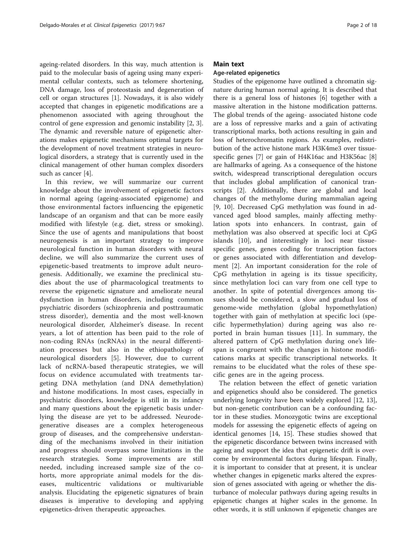ageing-related disorders. In this way, much attention is paid to the molecular basis of ageing using many experimental cellular contexts, such as telomere shortening, DNA damage, loss of proteostasis and degeneration of cell or organ structures [[1](#page-12-0)]. Nowadays, it is also widely accepted that changes in epigenetic modifications are a phenomenon associated with ageing throughout the control of gene expression and genomic instability [\[2](#page-12-0), [3](#page-12-0)]. The dynamic and reversible nature of epigenetic alterations makes epigenetic mechanisms optimal targets for the development of novel treatment strategies in neurological disorders, a strategy that is currently used in the clinical management of other human complex disorders such as cancer [\[4](#page-12-0)].

In this review, we will summarize our current knowledge about the involvement of epigenetic factors in normal ageing (ageing-associated epigenome) and those environmental factors influencing the epigenetic landscape of an organism and that can be more easily modified with lifestyle (e.g. diet, stress or smoking). Since the use of agents and manipulations that boost neurogenesis is an important strategy to improve neurological function in human disorders with neural decline, we will also summarize the current uses of epigenetic-based treatments to improve adult neurogenesis. Additionally, we examine the preclinical studies about the use of pharmacological treatments to reverse the epigenetic signature and ameliorate neural dysfunction in human disorders, including common psychiatric disorders (schizophrenia and posttraumatic stress disorder), dementia and the most well-known neurological disorder, Alzheimer's disease. In recent years, a lot of attention has been paid to the role of non-coding RNAs (ncRNAs) in the neural differentiation processes but also in the ethiopathology of neurological disorders [[5\]](#page-12-0). However, due to current lack of ncRNA-based therapeutic strategies, we will focus on evidence accumulated with treatments targeting DNA methylation (and DNA demethylation) and histone modifications. In most cases, especially in psychiatric disorders, knowledge is still in its infancy and many questions about the epigenetic basis underlying the disease are yet to be addressed. Neurodegenerative diseases are a complex heterogeneous group of diseases, and the comprehensive understanding of the mechanisms involved in their initiation and progress should overpass some limitations in the research strategies. Some improvements are still needed, including increased sample size of the cohorts, more appropriate animal models for the diseases, multicentric validations or multivariable analysis. Elucidating the epigenetic signatures of brain diseases is imperative to developing and applying epigenetics-driven therapeutic approaches.

## Main text

## Age-related epigenetics

Studies of the epigenome have outlined a chromatin signature during human normal ageing. It is described that there is a general loss of histones [[6\]](#page-12-0) together with a massive alteration in the histone modification patterns. The global trends of the ageing- associated histone code are a loss of repressive marks and a gain of activating transcriptional marks, both actions resulting in gain and loss of heterochromatin regions. As examples, redistribution of the active histone mark H3K4me3 over tissuespecific genes [\[7](#page-12-0)] or gain of H4K16ac and H3K56ac [\[8](#page-12-0)] are hallmarks of ageing. As a consequence of the histone switch, widespread transcriptional deregulation occurs that includes global amplification of canonical transcripts [[2\]](#page-12-0). Additionally, there are global and local changes of the methylome during mammalian ageing [[9, 10\]](#page-12-0). Decreased CpG methylation was found in advanced aged blood samples, mainly affecting methylation spots into enhancers. In contrast, gain of methylation was also observed at specific loci at CpG islands [[10\]](#page-12-0), and interestingly in loci near tissuespecific genes, genes coding for transcription factors or genes associated with differentiation and development [\[2](#page-12-0)]. An important consideration for the role of CpG methylation in ageing is its tissue specificity, since methylation loci can vary from one cell type to another. In spite of potential divergences among tissues should be considered, a slow and gradual loss of genome-wide methylation (global hypomethylation) together with gain of methylation at specific loci (specific hypermethylation) during ageing was also reported in brain human tissues [[11\]](#page-12-0). In summary, the altered pattern of CpG methylation during one's lifespan is congruent with the changes in histone modifications marks at specific transcriptional networks. It remains to be elucidated what the roles of these specific genes are in the ageing process.

The relation between the effect of genetic variation and epigenetics should also be considered. The genetics underlying longevity have been widely explored [\[12, 13](#page-12-0)], but non-genetic contribution can be a confounding factor in these studies. Monozygotic twins are exceptional models for assessing the epigenetic effects of ageing on identical genomes [\[14, 15\]](#page-13-0). These studies showed that the epigenetic discordance between twins increased with ageing and support the idea that epigenetic drift is overcome by environmental factors during lifespan. Finally, it is important to consider that at present, it is unclear whether changes in epigenetic marks altered the expression of genes associated with ageing or whether the disturbance of molecular pathways during ageing results in epigenetic changes at higher scales in the genome. In other words, it is still unknown if epigenetic changes are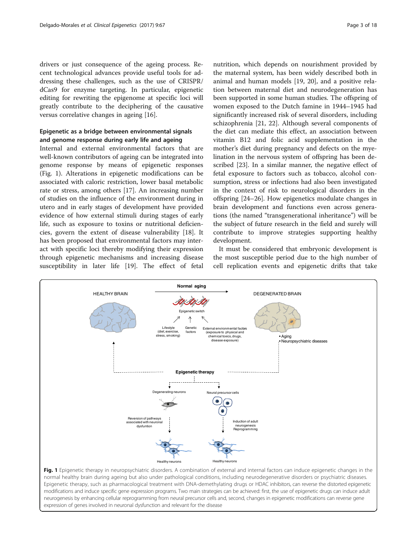<span id="page-2-0"></span>drivers or just consequence of the ageing process. Recent technological advances provide useful tools for addressing these challenges, such as the use of CRISPR/ dCas9 for enzyme targeting. In particular, epigenetic editing for rewriting the epigenome at specific loci will greatly contribute to the deciphering of the causative versus correlative changes in ageing [[16](#page-13-0)].

## Epigenetic as a bridge between environmental signals and genome response during early life and ageing

Internal and external environmental factors that are well-known contributors of ageing can be integrated into genome response by means of epigenetic responses (Fig. 1). Alterations in epigenetic modifications can be associated with caloric restriction, lower basal metabolic rate or stress, among others [\[17](#page-13-0)]. An increasing number of studies on the influence of the environment during in utero and in early stages of development have provided evidence of how external stimuli during stages of early life, such as exposure to toxins or nutritional deficiencies, govern the extent of disease vulnerability [\[18\]](#page-13-0). It has been proposed that environmental factors may interact with specific loci thereby modifying their expression through epigenetic mechanisms and increasing disease susceptibility in later life [[19](#page-13-0)]. The effect of fetal

nutrition, which depends on nourishment provided by the maternal system, has been widely described both in animal and human models [\[19](#page-13-0), [20\]](#page-13-0), and a positive relation between maternal diet and neurodegeneration has been supported in some human studies. The offspring of women exposed to the Dutch famine in 1944–1945 had significantly increased risk of several disorders, including schizophrenia [\[21, 22\]](#page-13-0). Although several components of the diet can mediate this effect, an association between vitamin B12 and folic acid supplementation in the mother's diet during pregnancy and defects on the myelination in the nervous system of offspring has been described [\[23\]](#page-13-0). In a similar manner, the negative effect of fetal exposure to factors such as tobacco, alcohol consumption, stress or infections had also been investigated in the context of risk to neurological disorders in the offspring [\[24](#page-13-0)–[26](#page-13-0)]. How epigenetics modulate changes in brain development and functions even across generations (the named "transgenerational inheritance") will be the subject of future research in the field and surely will contribute to improve strategies supporting healthy development.

It must be considered that embryonic development is the most susceptible period due to the high number of cell replication events and epigenetic drifts that take



Epigenetic therapy, such as pharmacological treatment with DNA-demethylating drugs or HDAC inhibitors, can reverse the distorted epigenetic modifications and induce specific gene expression programs. Two main strategies can be achieved: first, the use of epigenetic drugs can induce adult neurogenesis by enhancing cellular reprogramming from neural precursor cells and, second, changes in epigenetic modifications can reverse gene expression of genes involved in neuronal dysfunction and relevant for the disease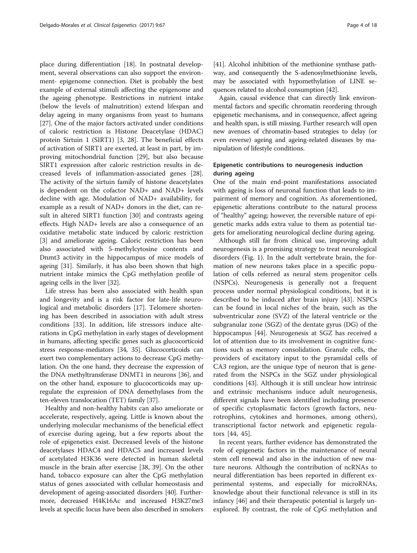place during differentiation [[18\]](#page-13-0). In postnatal development, several observations can also support the environment- epigenome connection. Diet is probably the best example of external stimuli affecting the epigenome and the ageing phenotype. Restrictions in nutrient intake (below the levels of malnutrition) extend lifespan and delay ageing in many organisms from yeast to humans [[27\]](#page-13-0). One of the major factors activated under conditions of caloric restriction is Histone Deacetylase (HDAC) protein Sirtuin 1 (SIRT1) [[3,](#page-12-0) [28\]](#page-13-0). The beneficial effects of activation of SIRT1 are exerted, at least in part, by improving mitochondrial function [[29](#page-13-0)], but also because SIRT1 expression after caloric restriction results in decreased levels of inflammation-associated genes [\[28](#page-13-0)]. The activity of the sirtuin family of histone deacetylates is dependent on the cofactor NAD+ and NAD+ levels decline with age. Modulation of NAD+ availability, for example as a result of NAD+ donors in the diet, can result in altered SIRT1 function [\[30](#page-13-0)] and contrasts ageing effects. High NAD+ levels are also a consequence of an oxidative metabolic state induced by caloric restriction [[3\]](#page-12-0) and ameliorate ageing. Caloric restriction has been also associated with 5-methylcytosine contents and Dnmt3 activity in the hippocampus of mice models of ageing [\[31\]](#page-13-0). Similarly, it has also been shown that high nutrient intake mimics the CpG methylation profile of ageing cells in the liver [[32\]](#page-13-0).

Life stress has been also associated with health span and longevity and is a risk factor for late-life neurological and metabolic disorders [[17\]](#page-13-0). Telomere shortening has been described in association with adult stress conditions [[33](#page-13-0)]. In addition, life stressors induce alterations in CpG methylation in early stages of development in humans, affecting specific genes such as glucocorticoid stress response-mediators [[34](#page-13-0), [35](#page-13-0)]. Glucocorticoids can exert two complementary actions to decrease CpG methylation. On the one hand, they decrease the expression of the DNA methyltransferase DNMT1 in neurons [[36](#page-13-0)], and on the other hand, exposure to glucocorticoids may upregulate the expression of DNA demethylases from the ten-eleven translocation (TET) family [[37\]](#page-13-0).

Healthy and non-healthy habits can also ameliorate or accelerate, respectively, ageing. Little is known about the underlying molecular mechanisms of the beneficial effect of exercise during ageing, but a few reports about the role of epigenetics exist. Decreased levels of the histone deacetylases HDAC4 and HDAC5 and increased levels of acetylated H3K36 were detected in human skeletal muscle in the brain after exercise [\[38, 39](#page-13-0)]. On the other hand, tobacco exposure can alter the CpG methylation status of genes associated with cellular homeostasis and development of ageing-associated disorders [\[40\]](#page-13-0). Furthermore, decreased H4K16Ac and increased H3K27me3 levels at specific locus have been also described in smokers

[[41](#page-13-0)]. Alcohol inhibition of the methionine synthase pathway, and consequently the S-adenosylmethionine levels, may be associated with hypomethylation of LINE sequences related to alcohol consumption [\[42\]](#page-13-0).

Again, causal evidence that can directly link environmental factors and specific chromatin reordering through epigenetic mechanisms, and in consequence, affect ageing and health span, is still missing. Further research will open new avenues of chromatin-based strategies to delay (or even reverse) ageing and ageing-related diseases by manipulation of lifestyle conditions.

## Epigenetic contributions to neurogenesis induction during ageing

One of the main end-point manifestations associated with ageing is loss of neuronal function that leads to impairment of memory and cognition. As aforementioned, epigenetic alterations contribute to the natural process of "healthy" ageing; however, the reversible nature of epigenetic marks adds extra value to them as potential targets for ameliorating neurological decline during ageing.

Although still far from clinical use, improving adult neurogenesis is a promising strategy to treat neurological disorders (Fig. [1](#page-2-0)). In the adult vertebrate brain, the formation of new neurons takes place in a specific population of cells referred as neural stem progenitor cells (NSPCs). Neurogenesis is generally not a frequent process under normal physiological conditions, but it is described to be induced after brain injury [[43](#page-13-0)]. NSPCs can be found in local niches of the brain, such as the subventricular zone (SVZ) of the lateral ventricle or the subgranular zone (SGZ) of the dentate gyrus (DG) of the hippocampus [[44](#page-13-0)]. Neurogenesis at SGZ has received a lot of attention due to its involvement in cognitive functions such as memory consolidation. Granule cells, the providers of excitatory input to the pyramidal cells of CA3 region, are the unique type of neuron that is generated from the NSPCs in the SGZ under physiological conditions [[43\]](#page-13-0). Although it is still unclear how intrinsic and extrinsic mechanisms induce adult neurogenesis, different signals have been identified including presence of specific cytoplasmatic factors (growth factors, neurotrophins, cytokines and hormones, among others), transcriptional factor network and epigenetic regulators [[44, 45](#page-13-0)].

In recent years, further evidence has demonstrated the role of epigenetic factors in the maintenance of neural stem cell renewal and also in the induction of new mature neurons. Although the contribution of ncRNAs to neural differentiation has been reported in different experimental systems, and especially for microRNAs, knowledge about their functional relevance is still in its infancy [\[46](#page-13-0)] and their therapeutic potential is largely unexplored. By contrast, the role of CpG methylation and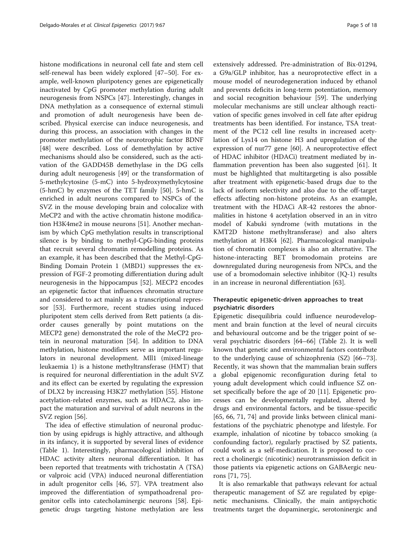histone modifications in neuronal cell fate and stem cell self-renewal has been widely explored [\[47](#page-13-0)–[50\]](#page-13-0). For example, well-known pluripotency genes are epigenetically inactivated by CpG promoter methylation during adult neurogenesis from NSPCs [[47](#page-13-0)]. Interestingly, changes in DNA methylation as a consequence of external stimuli and promotion of adult neurogenesis have been described. Physical exercise can induce neurogenesis, and during this process, an association with changes in the promoter methylation of the neurotrophic factor BDNF [[48\]](#page-13-0) were described. Loss of demethylation by active mechanisms should also be considered, such as the activation of the GADD45B demethylase in the DG cells during adult neurogenesis [[49\]](#page-13-0) or the transformation of 5-methylcytosine (5-mC) into 5-hydroxymethylcytosine (5-hmC) by enzymes of the TET family [\[50\]](#page-13-0). 5-hmC is enriched in adult neurons compared to NSPCs of the SVZ in the mouse developing brain and colocalize with MeCP2 and with the active chromatin histone modification H3K4me2 in mouse neurons [[51\]](#page-13-0). Another mechanism by which CpG methylation results in transcriptional silence is by binding to methyl-CpG-binding proteins that recruit several chromatin remodelling proteins. As an example, it has been described that the Methyl-CpG-Binding Domain Protein 1 (MBD1) suppresses the expression of FGF-2 promoting differentiation during adult neurogenesis in the hippocampus [\[52](#page-13-0)]. MECP2 encodes an epigenetic factor that influences chromatin structure and considered to act mainly as a transcriptional repressor [\[53\]](#page-13-0). Furthermore, recent studies using induced pluripotent stem cells derived from Rett patients (a disorder causes generally by point mutations on the MECP2 gene) demonstrated the role of the MeCP2 protein in neuronal maturation [\[54\]](#page-13-0). In addition to DNA methylation, histone modifiers serve as important regulators in neuronal development. Mll1 (mixed-lineage leukaemia 1) is a histone methyltransferase (HMT) that is required for neuronal differentiation in the adult SVZ and its effect can be exerted by regulating the expression of DLX2 by increasing H3K27 methylation [\[55\]](#page-13-0). Histone acetylation-related enzymes, such as HDAC2, also impact the maturation and survival of adult neurons in the SVZ region [[56](#page-13-0)].

The idea of effective stimulation of neuronal production by using epidrugs is highly attractive, and although in its infancy, it is supported by several lines of evidence (Table [1](#page-5-0)). Interestingly, pharmacological inhibition of HDAC activity alters neuronal differentiation. It has been reported that treatments with trichostatin A (TSA) or valproic acid (VPA) induced neuronal differentiation in adult progenitor cells [\[46, 57\]](#page-13-0). VPA treatment also improved the differentiation of sympathoadrenal progenitor cells into catecholaminergic neurons [[58\]](#page-13-0). Epigenetic drugs targeting histone methylation are less extensively addressed. Pre-administration of Bix-01294, a G9a/GLP inhibitor, has a neuroprotective effect in a mouse model of neurodegeneration induced by ethanol and prevents deficits in long-term potentiation, memory and social recognition behaviour [\[59](#page-13-0)]. The underlying molecular mechanisms are still unclear although reactivation of specific genes involved in cell fate after epidrug treatments has been identified. For instance, TSA treatment of the PC12 cell line results in increased acetylation of Lys14 on histone H3 and upregulation of the expression of nur77 gene [[60\]](#page-13-0). A neuroprotective effect of HDAC inhibitor (HDACi) treatment mediated by inflammation prevention has been also suggested [[61\]](#page-13-0). It must be highlighted that multitargeting is also possible after treatment with epigenetic-based drugs due to the lack of isoform selectivity and also due to the off-target effects affecting non-histone proteins. As an example, treatment with the HDACi AR-42 restores the abnormalities in histone 4 acetylation observed in an in vitro model of Kabuki syndrome (with mutations in the KMT2D histone methyltransferase) and also alters methylation at H3K4 [[62\]](#page-14-0). Pharmacological manipulation of chromatin complexes is also an alternative. The histone-interacting BET bromodomain proteins are downregulated during neurogenesis from NPCs, and the use of a bromodomain selective inhibitor (JQ-1) results in an increase in neuronal differentiation [\[63](#page-14-0)].

## Therapeutic epigenetic-driven approaches to treat psychiatric disorders

Epigenetic disequilibria could influence neurodevelopment and brain function at the level of neural circuits and behavioural outcome and be the trigger point of several psychiatric disorders [\[64](#page-14-0)–[66\]](#page-14-0) (Table [2](#page-6-0)). It is well known that genetic and environmental factors contribute to the underlying cause of schizophrenia (SZ) [[66](#page-14-0)–[73](#page-14-0)]. Recently, it was shown that the mammalian brain suffers a global epigenomic reconfiguration during fetal to young adult development which could influence SZ onset specifically before the age of 20 [[11\]](#page-12-0). Epigenetic processes can be developmentally regulated, altered by drugs and environmental factors, and be tissue-specific [[65, 66, 71](#page-14-0), [74\]](#page-14-0) and provide links between clinical manifestations of the psychiatric phenotype and lifestyle. For example, inhalation of nicotine by tobacco smoking (a confounding factor), regularly practised by SZ patients, could work as a self-medication. It is proposed to correct a cholinergic (nicotinic) neurotransmission deficit in those patients via epigenetic actions on GABAergic neurons [[71, 75\]](#page-14-0).

It is also remarkable that pathways relevant for actual therapeutic management of SZ are regulated by epigenetic mechanisms. Clinically, the main antipsychotic treatments target the dopaminergic, serotoninergic and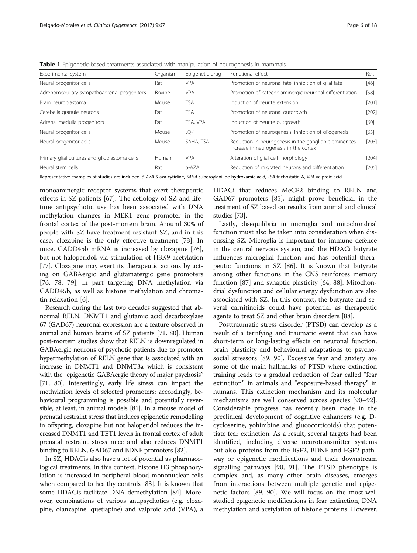<span id="page-5-0"></span>**Table 1** Epigenetic-based treatments associated with manipulation of neurogenesis in mammals

| Experimental system                           | Organism | Epigenetic drug | Functional effect                                                                                | Ref.    |
|-----------------------------------------------|----------|-----------------|--------------------------------------------------------------------------------------------------|---------|
| Neural progenitor cells                       | Rat      | <b>VPA</b>      | Promotion of neuronal fate, inhibition of glial fate                                             | $[46]$  |
| Adrenomedullary sympathoadrenal progenitors   | Bovine   | <b>VPA</b>      | Promotion of catecholaminergic neuronal differentiation                                          | [58]    |
| Brain neuroblastoma                           | Mouse    | tsa             | Induction of neurite extension                                                                   | $[201]$ |
| Cerebella granule neurons                     | Rat      | TSA             | Promotion of neuronal outgrowth                                                                  | $[202]$ |
| Adrenal medulla progenitors                   | Rat      | TSA, VPA        | Induction of neurite outgrowth                                                                   | [60]    |
| Neural progenitor cells                       | Mouse    | $JQ-1$          | Promotion of neurogenesis, inhibition of gliogenesis                                             | [63]    |
| Neural progenitor cells                       | Mouse    | SAHA, TSA       | Reduction in neurogenesis in the ganglionic eminences,<br>increase in neurogenesis in the cortex | [203]   |
| Primary glial cultures and glioblastoma cells | Human    | <b>VPA</b>      | Alteration of glial cell morphology                                                              | [204]   |
| Neural stem cells                             | Rat      | 5-AZA           | Reduction of migrated neurons and differentiation                                                | $[205]$ |
|                                               |          |                 |                                                                                                  |         |

Representative examples of studies are included. 5-AZA 5-aza-cytidine, SAHA suberoylanilide hydroxamic acid, TSA trichostatin A, VPA valproic acid

monoaminergic receptor systems that exert therapeutic effects in SZ patients [\[67](#page-14-0)]. The aetiology of SZ and lifetime antipsychotic use has been associated with DNA methylation changes in MEK1 gene promoter in the frontal cortex of the post-mortem brain. Around 30% of people with SZ have treatment-resistant SZ, and in this case, clozapine is the only effective treatment [[73\]](#page-14-0). In mice, GADD45b mRNA is increased by clozapine [\[76](#page-14-0)], but not haloperidol, via stimulation of H3K9 acetylation [[77\]](#page-14-0). Clozapine may exert its therapeutic actions by acting on GABAergic and glutamatergic gene promoters [[76, 78, 79\]](#page-14-0), in part targeting DNA methylation via GADD45b, as well as histone methylation and chromatin relaxation [\[6](#page-12-0)].

Research during the last two decades suggested that abnormal RELN, DNMT1 and glutamic acid decarboxylase 67 (GAD67) neuronal expression are a feature observed in animal and human brains of SZ patients [\[71, 80\]](#page-14-0). Human post-mortem studies show that RELN is downregulated in GABAergic neurons of psychotic patients due to promoter hypermethylation of RELN gene that is associated with an increase in DNMT1 and DNMT3a which is consistent with the "epigenetic GABAergic theory of major psychosis" [[71](#page-14-0), [80\]](#page-14-0). Interestingly, early life stress can impact the methylation levels of selected promoters; accordingly, behavioural programming is possible and potentially reversible, at least, in animal models [[81\]](#page-14-0). In a mouse model of prenatal restraint stress that induces epigenetic remodelling in offspring, clozapine but not haloperidol reduces the increased DNMT1 and TET1 levels in frontal cortex of adult prenatal restraint stress mice and also reduces DNMT1 binding to RELN, GAD67 and BDNF promoters [[82](#page-14-0)].

In SZ, HDACis also have a lot of potential as pharmacological treatments. In this context, histone H3 phosphorylation is increased in peripheral blood mononuclear cells when compared to healthy controls [\[83\]](#page-14-0). It is known that some HDACis facilitate DNA demethylation [\[84\]](#page-14-0). Moreover, combinations of various antipsychotics (e.g. clozapine, olanzapine, quetiapine) and valproic acid (VPA), a

HDACi that reduces MeCP2 binding to RELN and GAD67 promoters [\[85\]](#page-14-0), might prove beneficial in the treatment of SZ based on results from animal and clinical studies [\[73\]](#page-14-0).

Lastly, disequilibria in microglia and mitochondrial function must also be taken into consideration when discussing SZ. Microglia is important for immune defence in the central nervous system, and the HDACi butyrate influences microglial function and has potential therapeutic functions in SZ [\[86](#page-14-0)]. It is known that butyrate among other functions in the CNS reinforces memory function [[87\]](#page-14-0) and synaptic plasticity [[64](#page-14-0), [88\]](#page-14-0). Mitochondrial dysfunction and cellular energy dysfunction are also associated with SZ. In this context, the butyrate and several carnitinoids could have potential as therapeutic agents to treat SZ and other brain disorders [\[88\]](#page-14-0).

Posttraumatic stress disorder (PTSD) can develop as a result of a terrifying and traumatic event that can have short-term or long-lasting effects on neuronal function, brain plasticity and behavioural adaptations to psychosocial stressors [[89, 90](#page-14-0)]. Excessive fear and anxiety are some of the main hallmarks of PTSD where extinction training leads to a gradual reduction of fear called "fear extinction" in animals and "exposure-based therapy" in humans. This extinction mechanism and its molecular mechanisms are well conserved across species [[90](#page-14-0)–[92](#page-14-0)]. Considerable progress has recently been made in the preclinical development of cognitive enhancers (e.g. Dcycloserine, yohimbine and glucocorticoids) that potentiate fear extinction. As a result, several targets had been identified, including diverse neurotransmitter systems but also proteins from the IGF2, BDNF and FGF2 pathway or epigenetic modifications and their downstream signalling pathways [[90, 91](#page-14-0)]. The PTSD phenotype is complex and, as many other brain diseases, emerges from interactions between multiple genetic and epigenetic factors [[89, 90](#page-14-0)]. We will focus on the most-well studied epigenetic modifications in fear extinction, DNA methylation and acetylation of histone proteins. However,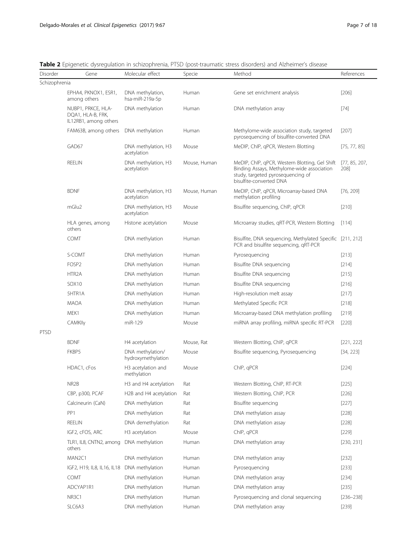<span id="page-6-0"></span>Table 2 Epigenetic dysregulation in schizophrenia, PTSD (post-traumatic stress disorders) and Alzheimer's disease

| Disorder      | Gene                                                             | Molecular effect                       | Specie       | Method                                                                                                                                                       | References            |
|---------------|------------------------------------------------------------------|----------------------------------------|--------------|--------------------------------------------------------------------------------------------------------------------------------------------------------------|-----------------------|
| Schizophrenia |                                                                  |                                        |              |                                                                                                                                                              |                       |
|               | EPHA4, PKNOX1, ESR1,<br>among others                             | DNA methylation,<br>hsa-miR-219a-5p    | Human        | Gene set enrichment analysis                                                                                                                                 | $[206]$               |
|               | NUBP1, PRKCE, HLA-<br>DQA1, HLA-B, FRK,<br>IL12RB1, among others | DNA methylation                        | Human        | DNA methylation array                                                                                                                                        | $[74]$                |
|               | FAM63B, among others                                             | DNA methylation                        | Human        | Methylome-wide association study, targeted<br>pyrosequencing of bisulfite-converted DNA                                                                      | $[207]$               |
|               | GAD67                                                            | DNA methylation, H3<br>acetylation     | Mouse        | MeDIP, ChIP, qPCR, Western Blotting                                                                                                                          | [75, 77, 85]          |
|               | REELIN                                                           | DNA methylation, H3<br>acetylation     | Mouse, Human | MeDIP, ChIP, qPCR, Western Blotting, Gel Shift<br>Binding Assays, Methylome-wide association<br>study, targeted pyrosequencing of<br>bisulfite-converted DNA | [77, 85, 207,<br>2081 |
|               | <b>BDNF</b>                                                      | DNA methylation, H3<br>acetylation     | Mouse, Human | MeDIP, ChIP, qPCR, Microarray-based DNA<br>methylation profiling                                                                                             | [76, 209]             |
|               | mGlu2                                                            | DNA methylation, H3<br>acetylation     | Mouse        | Bisulfite sequencing, ChIP, gPCR                                                                                                                             | [210]                 |
|               | HLA genes, among<br>others                                       | Histone acetylation                    | Mouse        | Microarray studies, gRT-PCR, Western Blotting                                                                                                                | [114]                 |
|               | <b>COMT</b>                                                      | DNA methylation                        | Human        | Bisulfite, DNA sequencing, Methylated Specific [211, 212]<br>PCR and bisulfite sequencing, qRT-PCR                                                           |                       |
|               | S-COMT                                                           | DNA methylation                        | Human        | Pyrosequencing                                                                                                                                               | [213]                 |
|               | FOSP <sub>2</sub>                                                | DNA methylation                        | Human        | Bisulfite DNA sequencing                                                                                                                                     | [214]                 |
|               | HTR <sub>2</sub> A                                               | DNA methylation                        | Human        | Bisulfite DNA sequencing                                                                                                                                     | [215]                 |
|               | SOX <sub>10</sub>                                                | DNA methylation                        | Human        | Bisulfite DNA sequencing                                                                                                                                     | $[216]$               |
|               | 5HTR1A                                                           | DNA methylation                        | Human        | High-resolution melt assay                                                                                                                                   | [217]                 |
|               | <b>MAOA</b>                                                      | DNA methylation                        | Human        | Methylated Specific PCR                                                                                                                                      | $[218]$               |
|               | MEK1                                                             | DNA methylation                        | Human        | Microarray-based DNA methylation profiling                                                                                                                   | $[219]$               |
|               | CAMKIIy                                                          | miR-129                                | Mouse        | miRNA array profiling, miRNA specific RT-PCR                                                                                                                 | $[220]$               |
| <b>PTSD</b>   |                                                                  |                                        |              |                                                                                                                                                              |                       |
|               | <b>BDNF</b>                                                      | H4 acetylation                         | Mouse, Rat   | Western Blotting, ChIP, gPCR                                                                                                                                 | [221, 222]            |
|               | FKBP5                                                            | DNA methylation/<br>hydroxymethylation | Mouse        | Bisulfite sequencing, Pyrosequencing                                                                                                                         | [34, 223]             |
|               | HDAC1, cFos                                                      | H3 acetylation and<br>methylation      | Mouse        | ChIP, qPCR                                                                                                                                                   | [224]                 |
|               | NR <sub>2</sub> B                                                | H3 and H4 acetylation                  | Rat          | Western Blotting, ChIP, RT-PCR                                                                                                                               | [225]                 |
|               | CBP, p300, PCAF                                                  | H2B and H4 acetylation                 | Rat          | Western Blotting, ChIP, PCR                                                                                                                                  | [226]                 |
|               | Calcineurin (CaN)                                                | DNA methylation                        | Rat          | Bisulfite sequencing                                                                                                                                         | $[227]$               |
|               | PP <sub>1</sub>                                                  | DNA methylation                        | Rat          | DNA methylation assay                                                                                                                                        | [228]                 |
|               | REELIN                                                           | DNA demethylation                      | Rat          | DNA methylation assay                                                                                                                                        | $[228]$               |
|               | IGF2, cFOS, ARC                                                  | H3 acetylation                         | Mouse        | ChIP, qPCR                                                                                                                                                   | $[229]$               |
|               | TLR1, IL8, CNTN2, among<br>others                                | DNA methylation                        | Human        | DNA methylation array                                                                                                                                        | [230, 231]            |
|               | MAN2C1                                                           | DNA methylation                        | Human        | DNA methylation array                                                                                                                                        | [232]                 |
|               | IGF2, H19, IL8, IL16, IL18                                       | DNA methylation                        | Human        | Pyrosequencing                                                                                                                                               | [233]                 |
|               | <b>COMT</b>                                                      | DNA methylation                        | Human        | DNA methylation array                                                                                                                                        | $[234]$               |
|               | ADCYAP1R1                                                        | DNA methylation                        | Human        | DNA methylation array                                                                                                                                        | [235]                 |
|               | NR3C1                                                            | DNA methylation                        | Human        | Pyrosequencing and clonal sequencing                                                                                                                         | $[236 - 238]$         |
|               | SLC6A3                                                           | DNA methylation                        | Human        | DNA methylation array                                                                                                                                        | [239]                 |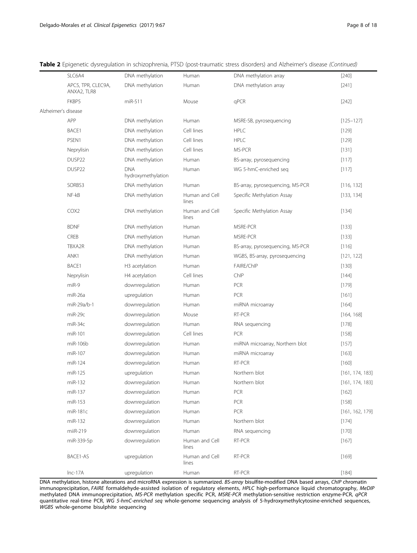|                     | SLC6A4                            | DNA methylation                  | Human                   | DNA methylation array            | $[240]$         |
|---------------------|-----------------------------------|----------------------------------|-------------------------|----------------------------------|-----------------|
|                     | APC5, TPR, CLEC9A,<br>ANXA2, TLR8 | DNA methylation                  | Human                   | DNA methylation array            | $[241]$         |
|                     | FKBP5                             | miR-511                          | Mouse                   | qPCR                             | [242]           |
| Alzheimer's disease |                                   |                                  |                         |                                  |                 |
|                     | APP                               | DNA methylation                  | Human                   | MSRE-SB, pyrosequencing          | $[125 - 127]$   |
|                     | BACE1                             | DNA methylation                  | Cell lines              | <b>HPLC</b>                      | [129]           |
|                     | PSEN1                             | DNA methylation                  | Cell lines              | <b>HPLC</b>                      | [129]           |
|                     | Neprylisin                        | DNA methylation                  | Cell lines              | MS-PCR                           | [131]           |
|                     | DUSP22                            | DNA methylation                  | Human                   | BS-array, pyrosequencing         | [117]           |
|                     | DUSP22                            | <b>DNA</b><br>hydroxymethylation | Human                   | WG 5-hmC-enriched seg            | [117]           |
|                     | SORBS3                            | DNA methylation                  | Human                   | BS-array, pyrosequencing, MS-PCR | [116, 132]      |
|                     | NF-kB                             | DNA methylation                  | Human and Cell<br>lines | Specific Methylation Assay       | [133, 134]      |
|                     | COX <sub>2</sub>                  | DNA methylation                  | Human and Cell<br>lines | Specific Methylation Assay       | $[134]$         |
|                     | <b>BDNF</b>                       | DNA methylation                  | Human                   | MSRE-PCR                         | [133]           |
|                     | CREB                              | DNA methylation                  | Human                   | MSRE-PCR                         | [133]           |
|                     | TBXA2R                            | DNA methylation                  | Human                   | BS-array, pyrosequencing, MS-PCR | [116]           |
|                     | ANK1                              | DNA methylation                  | Human                   | WGBS, BS-array, pyrosequencing   | [121, 122]      |
|                     | BACE1                             | H3 acetylation                   | Human                   | <b>FAIRE/ChIP</b>                | [130]           |
|                     | Neprylisin                        | H4 acetylation                   | Cell lines              | ChIP                             | $[144]$         |
|                     | miR-9                             | downregulation                   | Human                   | PCR                              | $[179]$         |
|                     | miR-26a                           | upregulation                     | Human                   | PCR                              | [161]           |
|                     | miR-29a/b-1                       | downregulation                   | Human                   | miRNA microarray                 | $[164]$         |
|                     | $miR-29c$                         | downregulation                   | Mouse                   | RT-PCR                           | [164, 168]      |
|                     | miR-34c                           | downregulation                   | Human                   | RNA sequencing                   | $[178]$         |
|                     | miR-101                           | downregulation                   | Cell lines              | PCR                              | [158]           |
|                     | miR-106b                          | downregulation                   | Human                   | miRNA microarray, Northern blot  | $[157]$         |
|                     | miR-107                           | downregulation                   | Human                   | miRNA microarray                 | $[163]$         |
|                     | miR-124                           | downregulation                   | Human                   | RT-PCR                           | [160]           |
|                     | miR-125                           | upregulation                     | Human                   | Northern blot                    | [161, 174, 183] |
|                     | miR-132                           | downregulation                   | Human                   | Northern blot                    | [161, 174, 183] |
|                     | miR-137                           | downregulation                   | Human                   | PCR                              | $[162]$         |
|                     | miR-153                           | downregulation                   | Human                   | PCR                              | [158]           |
|                     | miR-181c                          | downregulation                   | Human                   | PCR                              | [161, 162, 179] |
|                     | miR-132                           | downregulation                   | Human                   | Northern blot                    | $[174]$         |
|                     | miiR-219                          | downregulation                   | Human                   | RNA sequencing                   | $[170]$         |
|                     | miR-339-5p                        | downregulation                   | Human and Cell<br>lines | RT-PCR                           | [167]           |
|                     | BACE1-AS                          | upregulation                     | Human and Cell<br>lines | RT-PCR                           | $[169]$         |
|                     | $Inc-17A$                         | upregulation                     | Human                   | RT-PCR                           | [184]           |

Table 2 Epigenetic dysregulation in schizophrenia, PTSD (post-traumatic stress disorders) and Alzheimer's disease (Continued)

DNA methylation, histone alterations and microRNA expression is summarized. BS-array bisulfite-modified DNA based arrays, ChIP chromatin immunoprecipitation, FAIRE formaldehyde-assisted isolation of regulatory elements, HPLC high-performance liquid chromatography, MeDIP methylated DNA immunoprecipitation, MS-PCR methylation specific PCR, MSRE-PCR methylation-sensitive restriction enzyme-PCR, qPCR quantitative real-time PCR, WG 5-hmC-enriched seq whole-genome sequencing analysis of 5-hydroxymethylcytosine-enriched sequences, WGBS whole-genome bisulphite sequencing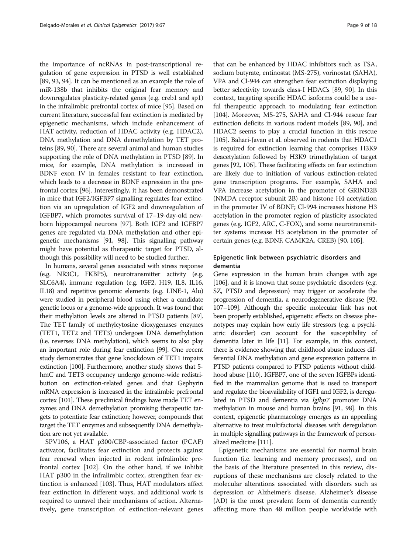the importance of ncRNAs in post-transcriptional regulation of gene expression in PTSD is well established [[89](#page-14-0), [93, 94](#page-14-0)]. It can be mentioned as an example the role of miR-138b that inhibits the original fear memory and downregulates plasticity-related genes (e.g. creb1 and sp1) in the infralimbic prefrontal cortex of mice [\[95\]](#page-14-0). Based on current literature, successful fear extinction is mediated by epigenetic mechanisms, which include enhancement of HAT activity, reduction of HDAC activity (e.g. HDAC2), DNA methylation and DNA demethylation by TET proteins [\[89](#page-14-0), [90](#page-14-0)]. There are several animal and human studies supporting the role of DNA methylation in PTSD [\[89\]](#page-14-0). In mice, for example, DNA methylation is increased in BDNF exon IV in females resistant to fear extinction, which leads to a decrease in BDNF expression in the prefrontal cortex [\[96\]](#page-14-0). Interestingly, it has been demonstrated in mice that IGF2/IGFBP7 signalling regulates fear extinction via an upregulation of IGF2 and downregulation of IGFBP7, which promotes survival of 17–19-day-old newborn hippocampal neurons [[97](#page-14-0)]. Both IGF2 and IGFBP7 genes are regulated via DNA methylation and other epigenetic mechanisms [\[91](#page-14-0), [98\]](#page-14-0). This signalling pathway might have potential as therapeutic target for PTSD, although this possibility will need to be studied further.

In humans, several genes associated with stress response (e.g. NR3C1, FKBP5), neurotransmitter activity (e.g. SLC6A4), immune regulation (e.g. IGF2, H19, IL8, IL16, IL18) and repetitive genomic elements (e.g. LINE-1, Alu) were studied in peripheral blood using either a candidate genetic locus or a genome-wide approach. It was found that their methylation levels are altered in PTSD patients [\[89](#page-14-0)]. The TET family of methylcytosine dioxygenases enzymes (TET1, TET2 and TET3) undergoes DNA demethylation (i.e. reverses DNA methylation), which seems to also play an important role during fear extinction [[99](#page-14-0)]. One recent study demonstrates that gene knockdown of TET1 impairs extinction [\[100](#page-14-0)]. Furthermore, another study shows that 5 hmC and TET3 occupancy undergo genome-wide redistribution on extinction-related genes and that Gephyrin mRNA expression is increased in the infralimbic prefrontal cortex [\[101](#page-14-0)]. These preclinical findings have made TET enzymes and DNA demethylation promising therapeutic targets to potentiate fear extinction; however, compounds that target the TET enzymes and subsequently DNA demethylation are not yet available.

SPV106, a HAT p300/CBP-associated factor (PCAF) activator, facilitates fear extinction and protects against fear renewal when injected in rodent infralimbic prefrontal cortex [[102](#page-14-0)]. On the other hand, if we inhibit HAT p300 in the infralimbic cortex, strengthen fear extinction is enhanced [[103\]](#page-14-0). Thus, HAT modulators affect fear extinction in different ways, and additional work is required to unravel their mechanisms of action. Alternatively, gene transcription of extinction-relevant genes

that can be enhanced by HDAC inhibitors such as TSA, sodium butyrate, entinostat (MS-275), vorinostat (SAHA), VPA and Cl-944 can strengthen fear extinction displaying better selectivity towards class-I HDACs [[89](#page-14-0), [90\]](#page-14-0). In this context, targeting specific HDAC isoforms could be a useful therapeutic approach to modulating fear extinction [[104](#page-14-0)]. Moreover, MS-275, SAHA and Cl-944 rescue fear extinction deficits in various rodent models [[89, 90\]](#page-14-0), and HDAC2 seems to play a crucial function in this rescue [[105](#page-14-0)]. Bahari-Javan et al. observed in rodents that HDAC1 is required for extinction learning that comprises H3K9 deacetylation followed by H3K9 trimethylation of target genes [[92](#page-14-0), [106](#page-14-0)]. These facilitating effects on fear extinction are likely due to initiation of various extinction-related gene transcription programs. For example, SAHA and VPA increase acetylation in the promoter of GRIND2B (NMDA receptor subunit 2B) and histone H4 acetylation in the promoter IV of BDNF; Cl-994 increases histone H3 acetylation in the promoter region of plasticity associated genes (e.g. IGF2, ARC, C-FOX), and some neurotransmitter systems increase H3 acetylation in the promoter of certain genes (e.g. BDNF, CAMK2A, CREB) [[90](#page-14-0), [105\]](#page-14-0).

## Epigenetic link between psychiatric disorders and dementia

Gene expression in the human brain changes with age [[106\]](#page-14-0), and it is known that some psychiatric disorders (e.g. SZ, PTSD and depression) may trigger or accelerate the progression of dementia, a neurodegenerative disease [\[92](#page-14-0), [107](#page-14-0)–[109\]](#page-14-0). Although the specific molecular link has not been properly established, epigenetic effects on disease phenotypes may explain how early life stressors (e.g. a psychiatric disorder) can account for the susceptibility of dementia later in life [\[11\]](#page-12-0). For example, in this context, there is evidence showing that childhood abuse induces differential DNA methylation and gene expression patterns in PTSD patients compared to PTSD patients without childhood abuse [\[110\]](#page-14-0). IGFBP7, one of the seven IGFBPs identified in the mammalian genome that is used to transport and regulate the bioavailability of IGF1 and IGF2, is deregulated in PTSD and dementia via Igfbp7 promoter DNA methylation in mouse and human brains [\[91, 98\]](#page-14-0). In this context, epigenetic pharmacology emerges as an appealing alternative to treat multifactorial diseases with deregulation in multiple signalling pathways in the framework of personalized medicine [\[111\]](#page-15-0).

Epigenetic mechanisms are essential for normal brain function (i.e. learning and memory processes), and on the basis of the literature presented in this review, disruptions of these mechanisms are closely related to the molecular alterations associated with disorders such as depression or Alzheimer's disease. Alzheimer's disease (AD) is the most prevalent form of dementia currently affecting more than 48 million people worldwide with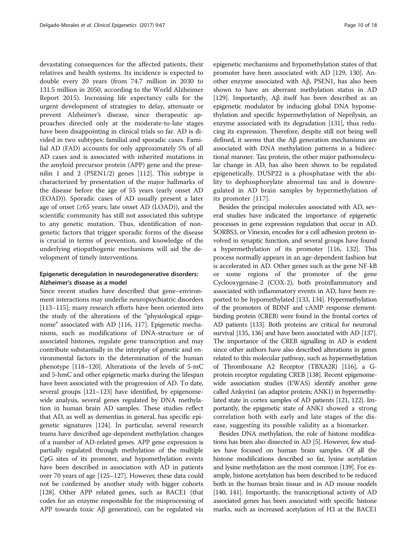devastating consequences for the affected patients, their relatives and health systems. Its incidence is expected to double every 20 years (from 74.7 million in 2030 to 131.5 million in 2050, according to the World Alzheimer Report 2015). Increasing life expectancy calls for the urgent development of strategies to delay, attenuate or prevent Alzheimer's disease, since therapeutic approaches directed only at the moderate-to-late stages have been disappointing in clinical trials so far. AD is divided in two subtypes: familial and sporadic cases. Familial AD (FAD) accounts for only approximately 5% of all AD cases and is associated with inherited mutations in the amyloid precursor protein (APP) gene and the presenilin 1 and 2 (PSEN1/2) genes [[112](#page-15-0)]. This subtype is characterized by presentation of the major hallmarks of the disease before the age of 55 years (early onset AD (EOAD)). Sporadic cases of AD usually present a later age of onset  $(\geq 65$  years; late onset AD (LOAD)), and the scientific community has still not associated this subtype to any genetic mutation. Thus, identification of nongenetic factors that trigger sporadic forms of the disease is crucial in terms of prevention, and knowledge of the underlying etiopathogenic mechanisms will aid the development of timely interventions.

## Epigenetic deregulation in neurodegenerative disorders: Alzheimer's disease as a model

Since recent studies have described that gene–environment interactions may underlie neuropsychiatric disorders [[113](#page-15-0)–[115\]](#page-15-0), many research efforts have been oriented into the study of the alterations of the "physiological epigenome" associated with AD [\[116, 117\]](#page-15-0). Epigenetic mechanisms, such as modifications of DNA-structure or of associated histones, regulate gene transcription and may contribute substantially in the interplay of genetic and environmental factors in the determination of the human phenotype [\[118](#page-15-0)–[120\]](#page-15-0). Alterations of the levels of 5-mC and 5-hmC and other epigenetic marks during the lifespan have been associated with the progression of AD. To date, several groups [\[121](#page-15-0)–[123](#page-15-0)] have identified, by epigenomewide analysis, several genes regulated by DNA methylation in human brain AD samples. These studies reflect that AD, as well as dementias in general, has specific epigenetic signatures [[124](#page-15-0)]. In particular, several research teams have described age-dependent methylation changes of a number of AD-related genes. APP gene expression is partially regulated through methylation of the multiple CpG sites of its promoter, and hypomethylation events have been described in association with AD in patients over 70 years of age [\[125](#page-15-0)–[127](#page-15-0)]. However, these data could not be confirmed by another study with bigger cohorts [[128](#page-15-0)]. Other APP related genes, such as BACE1 (that codes for an enzyme responsible for the misprocessing of APP towards toxic Aβ generation), can be regulated via

epigenetic mechanisms and hypomethylation states of that promoter have been associated with AD [[129](#page-15-0), [130\]](#page-15-0). Another enzyme associated with Aβ, PSEN1, has also been shown to have an aberrant methylation status in AD [[129](#page-15-0)]. Importantly, Aβ itself has been described as an epigenetic modulator by inducing global DNA hypomethylation and specific hypermethylation of Neprilysin, an enzyme associated with its degradation [\[131\]](#page-15-0), thus reducing its expression. Therefore, despite still not being well defined, it seems that the Aβ generation mechanisms are associated with DNA methylation patterns in a bidirectional manner. Tau protein, the other major pathomolecular change in AD, has also been shown to be regulated epigenetically. DUSP22 is a phosphatase with the ability to dephosphorylate abnormal tau and is downregulated in AD brain samples by hypermethylation of its promoter [[117\]](#page-15-0).

Besides the principal molecules associated with AD, several studies have indicated the importance of epigenetic processes in gene expression regulation that occur in AD. SORBS3, or Vinexin, encodes for a cell adhesion protein involved in synaptic function, and several groups have found a hypermethylation of its promoter [\[116, 132\]](#page-15-0). This process normally appears in an age-dependent fashion but is accelerated in AD. Other genes such as the gene NF-kB or some regions of the promoter of the gene Cyclooxygenase-2 (COX-2), both proinflammatory and associated with inflammatory events in AD, have been reported to be hypomethylated [\[133, 134](#page-15-0)]. Hypermethylation of the promoters of BDNF and cAMP response elementbinding protein (CREB) were found in the frontal cortex of AD patients [\[133](#page-15-0)]. Both proteins are critical for neuronal survival [\[135](#page-15-0), [136](#page-15-0)] and have been associated with AD [\[137](#page-15-0)]. The importance of the CREB signalling in AD is evident since other authors have also described alterations in genes related to this molecular pathway, such as hypermethylation of Thromboxane A2 Receptor (TBXA2R) [[116\]](#page-15-0), a Gprotein receptor regulating CREB [\[138](#page-15-0)]. Recent epigenomewide association studies (EWAS) identify another gene called Ankyrin1 (an adaptor protein; ANK1) in hypermethylated state in cortex samples of AD patients [\[121](#page-15-0), [122](#page-15-0)]. Importantly, the epigenetic state of ANK1 showed a strong correlation both with early and late stages of the disease, suggesting its possible validity as a biomarker.

Besides DNA methylation, the role of histone modifications has been also dissected in AD [\[5\]](#page-12-0). However, few studies have focused on human brain samples. Of all the histone modifications described so far, lysine acetylation and lysine methylation are the most common [\[139\]](#page-15-0). For example, histone acetylation has been described to be reduced both in the human brain tissue and in AD mouse models [[140, 141](#page-15-0)]. Importantly, the transcriptional activity of AD associated genes has been associated with specific histone marks, such as increased acetylation of H3 at the BACE1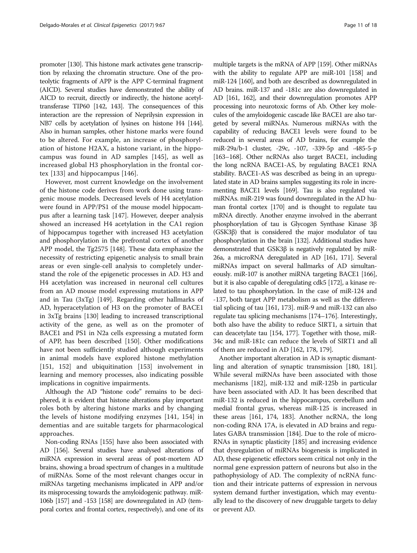promoter [\[130\]](#page-15-0). This histone mark activates gene transcription by relaxing the chromatin structure. One of the proteolytic fragments of APP is the APP C-terminal fragment (AICD). Several studies have demonstrated the ability of AICD to recruit, directly or indirectly, the histone acetyltransferase TIP60 [\[142, 143](#page-15-0)]. The consequences of this interaction are the repression of Neprilysin expression in NB7 cells by acetylation of lysines on histone H4 [\[144](#page-15-0)]. Also in human samples, other histone marks were found to be altered. For example, an increase of phosphorylation of histone H2AX, a histone variant, in the hippocampus was found in AD samples [[145\]](#page-15-0), as well as increased global H3 phosphorylation in the frontal cortex [[133\]](#page-15-0) and hippocampus [[146\]](#page-15-0).

However, most current knowledge on the involvement of the histone code derives from work done using transgenic mouse models. Decreased levels of H4 acetylation were found in APP/PS1 of the mouse model hippocampus after a learning task [[147](#page-15-0)]. However, deeper analysis showed an increased H4 acetylation in the CA1 region of hippocampus together with increased H3 acetylation and phosphorylation in the prefrontal cortex of another APP model, the Tg2575 [[148](#page-15-0)]. These data emphasize the necessity of restricting epigenetic analysis to small brain areas or even single-cell analysis to completely understand the role of the epigenetic processes in AD. H3 and H4 acetylation was increased in neuronal cell cultures from an AD mouse model expressing mutations in APP and in Tau (3xTg) [\[149\]](#page-15-0). Regarding other hallmarks of AD, hyperacetylation of H3 on the promoter of BACE1 in 3xTg brains [\[130\]](#page-15-0) leading to increased transcriptional activity of the gene, as well as on the promoter of BACE1 and PS1 in N2a cells expressing a mutated form of APP, has been described [[150](#page-15-0)]. Other modifications have not been sufficiently studied although experiments in animal models have explored histone methylation [[151, 152\]](#page-15-0) and ubiquitination [[153\]](#page-15-0) involvement in learning and memory processes, also indicating possible implications in cognitive impairments.

Although the AD "histone code" remains to be deciphered, it is evident that histone alterations play important roles both by altering histone marks and by changing the levels of histone modifying enzymes [\[141](#page-15-0), [154\]](#page-15-0) in dementias and are suitable targets for pharmacological approaches.

Non-coding RNAs [\[155](#page-15-0)] have also been associated with AD [[156\]](#page-15-0). Several studies have analysed alterations of miRNA expression in several areas of post-mortem AD brains, showing a broad spectrum of changes in a multitude of miRNAs. Some of the most relevant changes occur in miRNAs targeting mechanisms implicated in APP and/or its misprocessing towards the amyloidogenic pathway. miR-106b [\[157](#page-15-0)] and -153 [\[158](#page-15-0)] are downregulated in AD (temporal cortex and frontal cortex, respectively), and one of its

multiple targets is the mRNA of APP [[159\]](#page-15-0). Other miRNAs with the ability to regulate APP are miR-101 [\[158](#page-15-0)] and miR-124 [\[160](#page-15-0)], and both are described as downregulated in AD brains. miR-137 and -181c are also downregulated in AD [\[161](#page-16-0), [162](#page-16-0)], and their downregulation promotes APP processing into neurotoxic forms of Ab. Other key molecules of the amyloidogenic cascade like BACE1 are also targeted by several miRNAs. Numerous miRNAs with the capability of reducing BACE1 levels were found to be reduced in several areas of AD brains, for example the miR-29a/b-1 cluster, -29c, -107, -339-5p and -485-5-p [[163](#page-16-0)–[168\]](#page-16-0). Other ncRNAs also target BACE1, including the long ncRNA BACE1-AS, by regulating BACE1 RNA stability. BACE1-AS was described as being in an upregulated state in AD brains samples suggesting its role in incrementing BACE1 levels [[169\]](#page-16-0). Tau is also regulated via miRNAs. miR-219 was found downregulated in the AD human frontal cortex [[170\]](#page-16-0) and is thought to regulate tau mRNA directly. Another enzyme involved in the aberrant phosphorylation of tau is Glycogen Synthase Kinase 3β (GSK3β) that is considered the major modulator of tau phosphorylation in the brain [\[132](#page-15-0)]. Additional studies have demonstrated that GSK3β is negatively regulated by miR-26a, a microRNA deregulated in AD [\[161](#page-16-0), [171\]](#page-16-0). Several miRNAs impact on several hallmarks of AD simultaneously. miR-107 is another miRNA targeting BACE1 [\[166](#page-16-0)], but it is also capable of deregulating cdk5 [[172\]](#page-16-0), a kinase related to tau phosphorylation. In the case of miR-124 and -137, both target APP metabolism as well as the differential splicing of tau [\[161, 173](#page-16-0)]. miR-9 and miR-132 can also regulate tau splicing mechanisms [[174](#page-16-0)–[176\]](#page-16-0). Interestingly, both also have the ability to reduce SIRT1, a sirtuin that can deacetylate tau [\[154,](#page-15-0) [177\]](#page-16-0). Together with those, miR-34c and miR-181c can reduce the levels of SIRT1 and all of them are reduced in AD [\[162, 178, 179\]](#page-16-0).

Another important alteration in AD is synaptic dismantling and alteration of synaptic transmission [\[180, 181](#page-16-0)]. While several miRNAs have been associated with those mechanisms [[182](#page-16-0)], miR-132 and miR-125b in particular have been associated with AD. It has been described that miR-132 is reduced in the hippocampus, cerebellum and medial frontal gyrus, whereas miR-125 is increased in these areas [\[161, 174](#page-16-0), [183](#page-16-0)]. Another ncRNA, the long non-coding RNA 17A, is elevated in AD brains and regulates GABA transmission [\[184](#page-16-0)]. Due to the role of micro-RNAs in synaptic plasticity [\[185](#page-16-0)] and increasing evidence that dysregulation of miRNAs biogenesis is implicated in AD, these epigenetic effectors seem critical not only in the normal gene expression pattern of neurons but also in the pathophysiology of AD. The complexity of ncRNA function and their intricate patterns of expression in nervous system demand further investigation, which may eventually lead to the discovery of new druggable targets to delay or prevent AD.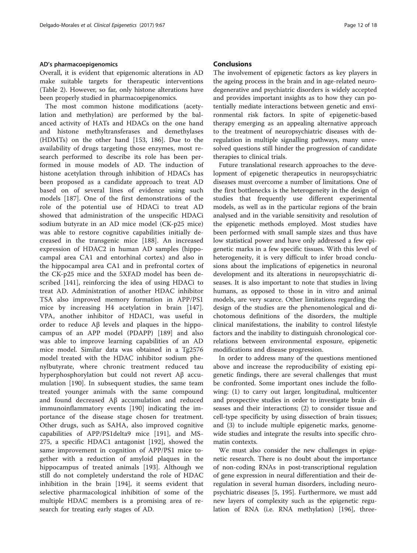### AD's pharmacoepigenomics

Overall, it is evident that epigenomic alterations in AD make suitable targets for therapeutic interventions (Table [2\)](#page-6-0). However, so far, only histone alterations have been properly studied in pharmacoepigenomics.

The most common histone modifications (acetylation and methylation) are performed by the balanced activity of HATs and HDACs on the one hand and histone methyltransferases and demethylases (HDMTs) on the other hand [[153](#page-15-0), [186\]](#page-16-0). Due to the availability of drugs targeting those enzymes, most research performed to describe its role has been performed in mouse models of AD. The induction of histone acetylation through inhibition of HDACs has been proposed as a candidate approach to treat AD based on of several lines of evidence using such models [[187\]](#page-16-0). One of the first demonstrations of the role of the potential use of HDACi to treat AD showed that administration of the unspecific HDACi sodium butyrate in an AD mice model (CK-p25 mice) was able to restore cognitive capabilities initially decreased in the transgenic mice [[188\]](#page-16-0). An increased expression of HDAC2 in human AD samples (hippocampal area CA1 and entorhinal cortex) and also in the hippocampal area CA1 and in prefrontal cortex of the CK-p25 mice and the 5XFAD model has been described [[141](#page-15-0)], reinforcing the idea of using HDACi to treat AD. Administration of another HDAC inhibitor TSA also improved memory formation in APP/PS1 mice by increasing H4 acetylation in brain [\[147](#page-15-0)]. VPA, another inhibitor of HDAC1, was useful in order to reduce Aβ levels and plaques in the hippocampus of an APP model (PDAPP) [[189\]](#page-16-0) and also was able to improve learning capabilities of an AD mice model. Similar data was obtained in a Tg2576 model treated with the HDAC inhibitor sodium phenylbutyrate, where chronic treatment reduced tau hyperphosphorylation but could not revert Aβ accumulation [[190\]](#page-16-0). In subsequent studies, the same team treated younger animals with the same compound and found decreased Aβ accumulation and reduced immunoinflammatory events [[190](#page-16-0)] indicating the importance of the disease stage chosen for treatment. Other drugs, such as SAHA, also improved cognitive capabilities of APP/PS1delta9 mice [\[191](#page-16-0)], and MS-275, a specific HDAC1 antagonist [\[192](#page-16-0)], showed the same improvement in cognition of APP/PS1 mice together with a reduction of amyloid plaques in the hippocampus of treated animals [[193\]](#page-16-0). Although we still do not completely understand the role of HDAC inhibition in the brain [[194\]](#page-16-0), it seems evident that selective pharmacological inhibition of some of the multiple HDAC members is a promising area of research for treating early stages of AD.

## **Conclusions**

The involvement of epigenetic factors as key players in the ageing process in the brain and in age-related neurodegenerative and psychiatric disorders is widely accepted and provides important insights as to how they can potentially mediate interactions between genetic and environmental risk factors. In spite of epigenetic-based therapy emerging as an appealing alternative approach to the treatment of neuropsychiatric diseases with deregulation in multiple signalling pathways, many unresolved questions still hinder the progression of candidate therapies to clinical trials.

Future translational research approaches to the development of epigenetic therapeutics in neuropsychiatric diseases must overcome a number of limitations. One of the first bottlenecks is the heterogeneity in the design of studies that frequently use different experimental models, as well as in the particular regions of the brain analysed and in the variable sensitivity and resolution of the epigenetic methods employed. Most studies have been performed with small sample sizes and thus have low statistical power and have only addressed a few epigenetic marks in a few specific tissues. With this level of heterogeneity, it is very difficult to infer broad conclusions about the implications of epigenetics in neuronal development and its alterations in neuropsychiatric diseases. It is also important to note that studies in living humans, as opposed to those in in vitro and animal models, are very scarce. Other limitations regarding the design of the studies are the phenomenological and dichotomous definitions of the disorders, the multiple clinical manifestations, the inability to control lifestyle factors and the inability to distinguish chronological correlations between environmental exposure, epigenetic modifications and disease progression.

In order to address many of the questions mentioned above and increase the reproducibility of existing epigenetic findings, there are several challenges that must be confronted. Some important ones include the following: (1) to carry out larger, longitudinal, multicenter and prospective studies in order to investigate brain diseases and their interactions; (2) to consider tissue and cell-type specificity by using dissection of brain tissues; and (3) to include multiple epigenetic marks, genomewide studies and integrate the results into specific chromatin contexts.

We must also consider the new challenges in epigenetic research. There is no doubt about the importance of non-coding RNAs in post-transcriptional regulation of gene expression in neural differentiation and their deregulation in several human disorders, including neuropsychiatric diseases [[5,](#page-12-0) [195](#page-16-0)]. Furthermore, we must add new layers of complexity such as the epigenetic regulation of RNA (i.e. RNA methylation) [\[196\]](#page-16-0), three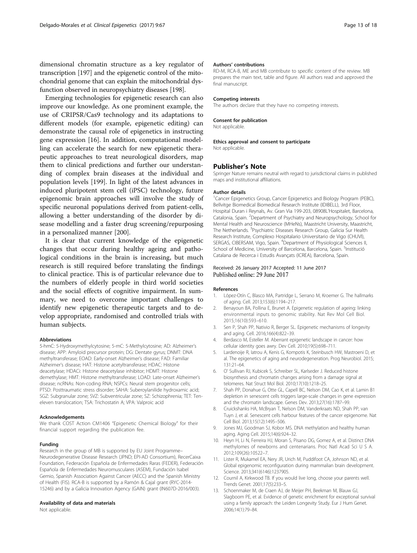<span id="page-12-0"></span>dimensional chromatin structure as a key regulator of transcription [\[197](#page-16-0)] and the epigenetic control of the mitochondrial genome that can explain the mitochondrial dysfunction observed in neuropsychiatry diseases [[198](#page-16-0)].

Emerging technologies for epigenetic research can also improve our knowledge. As one prominent example, the use of CRIPSR/Cas9 technology and its adaptations to different models (for example, epigenetic editing) can demonstrate the causal role of epigenetics in instructing gene expression [[16\]](#page-13-0). In addition, computational modelling can accelerate the search for new epigenetic therapeutic approaches to treat neurological disorders, map them to clinical predictions and further our understanding of complex brain diseases at the individual and population levels [[199\]](#page-16-0). In light of the latest advances in induced pluripotent stem cell (iPSC) technology, future epigenomic brain approaches will involve the study of specific neuronal populations derived from patient-cells, allowing a better understanding of the disorder by disease modelling and a faster drug screening/repurposing in a personalized manner [[200](#page-16-0)].

It is clear that current knowledge of the epigenetic changes that occur during healthy ageing and pathological conditions in the brain is increasing, but much research is still required before translating the findings to clinical practice. This is of particular relevance due to the numbers of elderly people in third world societies and the social effects of cognitive impairment. In summary, we need to overcome important challenges to identify new epigenetic therapeutic targets and to develop appropriate, randomised and controlled trials with human subjects.

#### Abbreviations

5-hmC: 5-Hydroxymethylcytosine; 5-mC: 5-Methylcytosine; AD: Alzheimer's disease; APP: Amyloid precursor protein; DG: Dentate gyrus; DNMT: DNA methyltransferase; EOAD: Early-onset Alzheimer's disease; FAD: Familiar Alzheimer's disease; HAT: Histone acetyltransferase; HDAC: Histone deacetylase; HDACi: Histone deacetylase inhibitor; HDMT: Histone demethylase; HMT: Histone methyltransferase; LOAD: Late-onset Alzheimer's disease; ncRNAs: Non-coding RNA; NSPCs: Neural stem progenitor cells; PTSD: Posttraumatic stress disorder; SAHA: Suberoylanilide hydroxamic acid; SGZ: Subgranular zone; SVZ: Subventricular zone; SZ: Schizophrenia; TET: Teneleven translocation; TSA: Trichostatin A; VPA: Valproic acid

#### Acknowledgements

We thank COST Action CM1406 "Epigenetic Chemical Biology" for their financial support regarding the publication fee.

#### Funding

Research in the group of MB is supported by EU Joint Programme– Neurodegenerative Disease Research (JPND; EPI-AD Consortium), RecerCaixa Foundation, Federación Española de Enfermedades Raras (FEDER), Federación Española de Enfermedades Neuromusculares (ASEM), Fundación Isabel Gemio, Spanish Association Against Cancer (AECC) and the Spanish Ministry of Health (FIS). RCA-B is supported by a Ramón & Cajal grant (RYC-2014- 15246) and by a Galicia Innovation Agency (GAIN) grant (IN607D-2016/003).

## Availability of data and materials

Not applicable.

#### Authors' contributions

RD-M, RCA-B, ME and MB contribute to specific content of the review. MB prepares the main text, table and figure. All authors read and approved the final manuscript.

#### Competing interests

The authors declare that they have no competing interests.

#### Consent for publication

Not applicable.

#### Ethics approval and consent to participate

Not applicable.

#### Publisher's Note

Springer Nature remains neutral with regard to jurisdictional claims in published maps and institutional affiliations.

#### Author details

<sup>1</sup> Cancer Epigenetics Group, Cancer Epigenetics and Biology Program (PEBC), Bellvitge Biomedical Biomedical Research Institute (IDIBELL), 3rd Floor, Hospital Duran i Reynals, Av. Gran Via 199-203, 08908L'Hospitalet, Barcelona, Catalonia, Spain. <sup>2</sup> Department of Psychiatry and Neuropsychology, School for Mental Health and Neuroscience (MHeNs), Maastricht University, Maastricht, The Netherlands. <sup>3</sup>Psychiatric Diseases Research Group, Galicia Sur Health Research Institute, Complexo Hospitalario Universitario de Vigo (CHUVI), SERGAS, CIBERSAM, Vigo, Spain. <sup>4</sup>Department of Physiological Sciences II, School of Medicine, University of Barcelona, Barcelona, Spain. <sup>5</sup>Institució Catalana de Recerca i Estudis Avançats (ICREA), Barcelona, Spain.

#### Received: 26 January 2017 Accepted: 11 June 2017 Published online: 29 June 2017

#### References

- 1. López-Otín C, Blasco MA, Partridge L, Serrano M, Kroemer G. The hallmarks of aging. Cell. 2013;153(6):1194–217.
- 2. Benayoun BA, Pollina E, Brunet A. Epigenetic regulation of ageing: linking environmental inputs to genomic stability. Nat Rev Mol Cell Biol. 2015;16(10):593–610.
- 3. Sen P, Shah PP, Nativio R, Berger SL. Epigenetic mechanisms of longevity and aging. Cell. 2016;166(4):822–39.
- 4. Berdasco M, Esteller M. Aberrant epigenetic landscape in cancer: how cellular identity goes awry. Dev Cell. 2010;19(5):698–711.
- 5. Lardenoije R, Iatrou A, Kenis G, Kompotis K, Steinbusch HW, Mastroeni D, et al. The epigenetics of aging and neurodegeneration. Prog Neurobiol. 2015; 131:21–64.
- 6. O' Sullivan RJ, Kubicek S, Schreiber SL, Karlseder J. Reduced histone biosynthesis and chromatin changes arising from a damage signal at telomeres. Nat Struct Mol Biol. 2010;17(10):1218–25.
- 7. Shah PP, Donahue G, Otte GL, Capell BC, Nelson DM, Cao K, et al. Lamin B1 depletion in senescent cells triggers large-scale changes in gene expression and the chromatin landscape. Genes Dev. 2013;27(16):1787–99.
- 8. Cruickshanks HA, McBryan T, Nelson DM, Vanderkraats ND, Shah PP, van Tuyn J, et al. Senescent cells harbour features of the cancer epigenome. Nat Cell Biol. 2013;15(12):1495–506.
- 9. Jones MJ, Goodman SJ, Kobor MS. DNA methylation and healthy human aging. Aging Cell. 2015;14(6):924–32.
- 10. Heyn H, Li N, Ferreira HJ, Moran S, Pisano DG, Gomez A, et al. Distinct DNA methylomes of newborns and centenarians. Proc Natl Acad Sci U S A. 2012;109(26):10522–7.
- 11. Lister R, Mukamel EA, Nery JR, Urich M, Puddifoot CA, Johnson ND, et al. Global epigenomic reconfiguration during mammalian brain development. Science. 2013;341(6146):1237905.
- 12. Cournil A, Kirkwood TB. If you would live long, choose your parents well. Trends Genet. 2001;17(5):233–5.
- 13. Schoenmaker M, de Craen AJ, de Meijer PH, Beekman M, Blauw GJ, Slagboom PE, et al. Evidence of genetic enrichment for exceptional survival using a family approach: the Leiden Longevity Study. Eur J Hum Genet. 2006;14(1):79–84.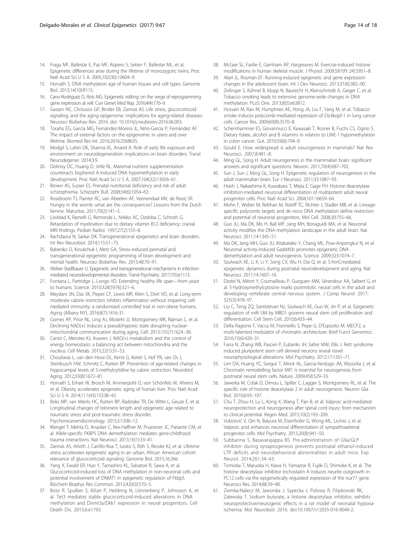- <span id="page-13-0"></span>14. Fraga MF, Ballestar E, Paz MF, Ropero S, Setien F, Ballestar ML, et al. Epigenetic differences arise during the lifetime of monozygotic twins. Proc Natl Acad Sci U S A. 2005;102(30):10604–9.
- 15. Horvath S. DNA methylation age of human tissues and cell types. Genome Biol. 2013;14(10):R115.
- 16. Cano-Rodriguez D, Rots MG. Epigenetic editing: on the verge of reprogramming gene expression at will. Curr Genet Med Rep. 2016;4(4):170–9.
- 17. Gassen NC, Chrousos GP, Binder EB, Zannas AS. Life stress, glucocorticoid signaling, and the aging epigenome: implications for aging-related diseases. Neurosci Biobehav Rev. 2016. doi: [10.1016/j.neubiorev.2016.06.003.](http://dx.doi.org/10.1016/j.neubiorev.2016.06.003)
- 18. Toraño EG, García MG, Fernández-Morera JL, Niño-García P, Fernández AF. The impact of external factors on the epigenome: in utero and over lifetime. Biomed Res Int. 2016;2016:2568635.
- 19. Modgil S, Lahiri DK, Sharma VL, Anand A. Role of early life exposure and environment on neurodegeneration: implications on brain disorders. Transl Neurodegener. 2014;3:9.
- 20. Dolinoy DC, Huang D, Jirtle RL. Maternal nutrient supplementation counteracts bisphenol A-induced DNA hypomethylation in early development. Proc Natl Acad Sci U S A. 2007;104(32):13056–61.
- 21. Brown AS, Susser ES. Prenatal nutritional deficiency and risk of adult schizophrenia. Schizophr Bull. 2008;34(6):1054–63.
- 22. Roseboom TJ, Painter RC, van Abeelen AF, Veenendaal MV, de Rooij SR. Hungry in the womb: what are the consequences? Lessons from the Dutch famine. Maturitas. 2011;70(2):141–5.
- 23. Lövblad K, Ramelli G, Remonda L, Nirkko AC, Ozdoba C, Schroth G. Retardation of myelination due to dietary vitamin B12 deficiency: cranial MRI findings. Pediatr Radiol. 1997;27(2):155–8.
- 24. Rachdaoui N, Sarkar DK. Transgenerational epigenetics and brain disorders. Int Rev Neurobiol. 2014;115:51–73.
- 25. Babenko O, Kovalchuk I, Metz GA. Stress-induced perinatal and transgenerational epigenetic programming of brain development and mental health. Neurosci Biobehav Rev. 2015;48:70–91.
- 26. Weber-Stadlbauer U. Epigenetic and transgenerational mechanisms in infectionmediated neurodevelopmental disorders. Transl Psychiatry. 2017;7(5):e1113.
- 27. Fontana L, Partridge L, Longo VD. Extending healthy life span—from yeast to humans. Science. 2010;328(5976):321–6.
- 28. Meydani SN, Das SK, Pieper CF, Lewis MR, Klein S, Dixit VD, et al. Long-term moderate calorie restriction inhibits inflammation without impairing cellmediated immunity: a randomized controlled trial in non-obese humans. Aging (Albany NY). 2016;8(7):1416-31.
- 29. Gomes AP, Price NL, Ling AJ, Moslehi JJ, Montgomery MK, Rajman L, et al. Declining NAD(+) induces a pseudohypoxic state disrupting nuclearmitochondrial communication during aging. Cell. 2013;155(7):1624–38.
- 30. Cantó C, Menzies KJ, Auwerx J. NAD(+) metabolism and the control of energy homeostasis: a balancing act between mitochondria and the nucleus. Cell Metab. 2015;22(1):31–53.
- 31. Chouliaras L, van den Hove DL, Kenis G, Keitel S, Hof PR, van Os J, Steinbusch HW, Schmitz C, Rutten BP. Prevention of age-related changes in hippocampal levels of 5-methylcytidine by caloric restriction. Neurobiol Aging. 2012;33(8):1672–81.
- 32. Horvath S, Erhart W, Brosch M, Ammerpohl O, von Schönfels W, Ahrens M, et al. Obesity accelerates epigenetic aging of human liver. Proc Natl Acad Sci U S A. 2014;111(43):15538–43.
- 33. Boks MP, van Mierlo HC, Rutten BP, Radstake TR, De Witte L, Geuze E, et al. Longitudinal changes of telomere length and epigenetic age related to traumatic stress and post-traumatic stress disorder. Psychoneuroendocrinology. 2015;51:506–12.
- 34. Klengel T, Mehta D, Anacker C, Rex-Haffner M, Pruessner JC, Pariante CM, et al. Allele-specific FKBP5 DNA demethylation mediates gene-childhood trauma interactions. Nat Neurosci. 2013;16(1):33–41.
- 35. Zannas AS, Arloth J, Carrillo-Roa T, Iurato S, Röh S, Ressler KJ, et al. Lifetime stress accelerates epigenetic aging in an urban, African American cohort: relevance of glucocorticoid signaling. Genome Biol. 2015;16:266.
- 36. Yang X, Ewald ER, Huo Y, Tamashiro KL, Salvatori R, Sawa A, et al. Glucocorticoid-induced loss of DNA methylation in non-neuronal cells and potential involvement of DNMT1 in epigenetic regulation of Fkbp5. Biochem Biophys Res Commun. 2012;420(3):570–5.
- 37. Bose R, Spulber S, Kilian P, Heldring N, Lönnerberg P, Johnsson A, et al. Tet3 mediates stable glucocorticoid-induced alterations in DNA methylation and Dnmt3a/Dkk1 expression in neural progenitors. Cell Death Dis. 2015;6:e1793.
- 38. McGee SL, Fairlie E, Garnham AP, Hargreaves M. Exercise-induced histone modifications in human skeletal muscle. J Physiol. 2009;587(Pt 24):5951–8.
- 39. Abel JL, Rissman EF. Running-induced epigenetic and gene expression changes in the adolescent brain. Int J Dev Neurosci. 2013;31(6):382–90.
- 40. Zeilinger S, Kühnel B, Klopp N, Baurecht H, Kleinschmidt A, Gieger C, et al. Tobacco smoking leads to extensive genome-wide changes in DNA methylation. PLoS One. 2013;8(5):e63812.
- 41. Hussain M, Rao M, Humphries AE, Hong JA, Liu F, Yang M, et al. Tobacco smoke induces polycomb-mediated repression of Dickkopf-1 in lung cancer cells. Cancer Res. 2009;69(8):3570–8.
- 42. Schernhammer ES, Giovannucci E, Kawasaki T, Rosner B, Fuchs CS, Ogino S. Dietary folate, alcohol and B vitamins in relation to LINE-1 hypomethylation in colon cancer. Gut. 2010;59(6):794–9.
- 43. Gould E. How widespread is adult neurogenesis in mammals? Nat Rev Neurosci. 2007;8:481–8.
- Ming GL, Song H. Adult neurogenesis in the mammalian brain: significant answers and significant questions. Neuron. 2011;70(4):687–702.
- 45. Sun J, Sun J, Ming GL, Song H. Epigenetic regulation of neurogenesis in the adult mammalian brain. Eur J Neurosci. 2011;33:1087–93.
- 46. Hsieh J, Nakashima K, Kuwabara T, Mejia E, Gage FH. Histone deacetylase inhibition-mediated neuronal differentiation of multipotent adult neural progenitor cells. Proc Natl Acad Sci. 2004;101:16659–64.
- 47. Mohn F, Weber M, Rebhan M, Roloff TC, Richter J, Stadler MB, et al. Lineagespecific polycomb targets and de novo DNA methylation define restriction and potential of neuronal progenitors. Mol Cell. 2008;30:755–66.
- 48. Guo JU, Ma DK, Mo H, Ball MP, Jang MH, Bonaguidi MA, et al. Neuronal activity modifies the DNA methylation landscape in the adult brain. Nat Neurosci. 2011;14:1345–51.
- 49. Ma DK, Jang MH, Guo JU, Kitabatake Y, Chang ML, Pow-Anpongkul N, et al. Neuronal activity-induced Gadd45b promotes epigenetic DNA demethylation and adult neurogenesis. Science. 2009;323:1074–7.
- 50. Szulwach KE, Li X, Li Y, Song CX, Wu H, Dai Q, et al. 5-hmCmediated epigenetic dynamics during postnatal neurodevelopment and aging. Nat Neurosci. 2011;14:1607–16.
- 51. Diotel N, Mérot Y, Coumailleau P, Gueguen MM, Sérandour AA, Salbert G, et al. 5-hydroxymethylcytosine marks postmitotic neural cells in the adult and developing vertebrate central nervous system. J Comp Neurol. 2017; 525(3):478–97.
- 52. Liu C, Teng ZQ, Santistevan NJ, Szulwach KE, Guo W, Jin P, et al. Epigenetic regulation of miR-184 by MBD1 governs neural stem cell proliferation and differentiation. Cell Stem Cell. 2010;6:433–44.
- 53. Della Ragione F, Vacca M, Fioriniello S, Pepe G, D'Esposito M. MECP2, a multi-talented modulator of chromatin architecture. Brief Funct Genomics. 2016;15(6):420–31.
- 54. Farra N, Zhang WB, Pasceri P, Eubanks JH, Salter MW, Ellis J. Rett syndrome induced pluripotent stem cell derived neurons reveal novel neurophysiological alterations. Mol Psychiatry. 2012;17:1261–71.
- 55. Lim DA, Huang YC, Swigut T, Mirick AL, Garcia-Verdugo JM, Wysocka J, et al. Chromatin remodelling factor Mll1 is essential for neurogenesis from postnatal neural stem cells. Nature. 2009;458:529–33.
- 56. Jawerka M, Colak D, Dimou L, Spiller C, Lagger S, Montgomery RL, et al. The specific role of histone deacetylase 2 in adult neurogenesis. Neuron Glia Biol. 2010;6:93–107.
- 57. Chu T, Zhou H, Lu L, Kong X, Wang T, Pan B, et al. Valproic acid-mediated neuroprotection and neurogenesis after spinal cord injury: from mechanism to clinical potential. Regen Med. 2015;10(2):193–209.
- 58. Vukićević V, Qin N, Balyura M, Eisenhofer G, Wong ML, Licinio J, et al. Valproic acid enhances neuronal differentiation of sympathoadrenal progenitor cells. Mol Psychiatry. 2015;20(8):941–50.
- 59. Subbanna S, Basavarajappa BS. Pre-administration of G9a/GLP inhibitor during synaptogenesis prevents postnatal ethanol-induced LTP deficits and neurobehavioral abnormalities in adult mice. Exp Neurol. 2014;261:34–43.
- 60. Tomioka T, Maruoka H, Kawa H, Yamazoe R, Fujiki D, Shimoke K, et al. The histone deacetylase inhibitor trichostatin A induces neurite outgrowth in PC12 cells via the epigenetically regulated expression of the nur77 gene. Neurosci Res. 2014;88:39–48.
- 61. Ziemka-Nalecz M, Jaworska J, Sypecka J, Polowy R, Filipkowski RK, Zalewska T. Sodium butyrate, a histone deacetylase inhibitor, exhibits neuroprotective/neurogenic effects in a rat model of neonatal hypoxiaischemia. Mol Neurobiol. 2016. doi[:10.1007/s12035-016-0049-2.](http://dx.doi.org/10.1007/s12035-016-0049-2)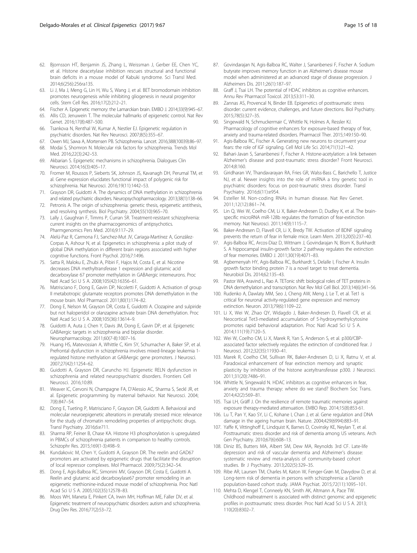- <span id="page-14-0"></span>62. Bjornsson HT, Benjamin JS, Zhang L, Weissman J, Gerber EE, Chen YC, et al. Histone deacetylase inhibition rescues structural and functional brain deficits in a mouse model of Kabuki syndrome. Sci Transl Med. 2014;6(256):256ra135.
- 63. Li J, Ma J, Meng G, Lin H, Wu S, Wang J, et al. BET bromodomain inhibition promotes neurogenesis while inhibiting gliogenesis in neural progenitor cells. Stem Cell Res. 2016;17(2):212–21.
- 64. Fischer A. Epigenetic memory: the Lamarckian brain. EMBO J. 2014;33(9):945–67.
- 65. Allis CD, Jenuwein T. The molecular hallmarks of epigenetic control. Nat Rev Genet. 2016;17(8):487–500.
- 66. Tsankova N, Renthal W, Kumar A, Nestler EJ. Epigenetic regulation in psychiatric disorders. Nat Rev Neurosci. 2007;8(5):355–67.
- 67. Owen MJ, Sawa A, Mortensen PB. Schizophrenia. Lancet. 2016;388(10039):86–97.
- 68. Modai S, Shomron N. Molecular risk factors for schizophrenia. Trends Mol Med. 2016;22(3):242–53.
- 69. Akbarian S. Epigenetic mechanisms in schizophrenia. Dialogues Clin Neurosci. 2014;16(3):405–17.
- 70. Fromer M, Roussos P, Sieberts SK, Johnson JS, Kavanagh DH, Perumal TM, et al. Gene expression elucidates functional impact of polygenic risk for schizophrenia. Nat Neurosci. 2016;19(11):1442–53.
- 71. Grayson DR, Guidotti A. The dynamics of DNA methylation in schizophrenia and related psychiatric disorders. Neuropsychopharmacology. 2013;38(1):138–66.
- 72. Petronis A. The origin of schizophrenia: genetic thesis, epigenetic antithesis, and resolving synthesis. Biol Psychiatry. 2004;55(10):965–70.
- 73. Lally J, Gaughran F, Timms P, Curran SR. Treatment-resistant schizophrenia: current insights on the pharmacogenomics of antipsychotics. Pharmgenomics Pers Med. 2016;9:117–29.
- 74. Alelú-Paz R, Carmona FJ, Sanchez-Mut JV, Cariaga-Martínez A, González-Corpas A, Ashour N, et al. Epigenetics in schizophrenia: a pilot study of global DNA methylation in different brain regions associated with higher cognitive functions. Front Psychol. 2016;7:1496.
- 75. Satta R, Maloku E, Zhubi A, Pibiri F, Hajos M, Costa E, et al. Nicotine decreases DNA methyltransferase 1 expression and glutamic acid decarboxylase 67 promoter methylation in GABAergic interneurons. Proc Natl Acad Sci U S A. 2008;105(42):16356–61.
- 76. Matrisciano F, Dong E, Gavin DP, Nicoletti F, Guidotti A. Activation of group II metabotropic glutamate receptors promotes DNA demethylation in the mouse brain. Mol Pharmacol. 2011;80(1):174–82.
- 77. Dong E, Nelson M, Grayson DR, Costa E, Guidotti A. Clozapine and sulpiride but not haloperidol or olanzapine activate brain DNA demethylation. Proc Natl Acad Sci U S A. 2008;105(36):13614–9.
- 78. Guidotti A, Auta J, Chen Y, Davis JM, Dong E, Gavin DP, et al. Epigenetic GABAergic targets in schizophrenia and bipolar disorder. Neuropharmacology. 2011;60(7-8):1007–16.
- 79. Huang HS, Matevossian A, Whittle C, Kim SY, Schumacher A, Baker SP, et al. Prefrontal dysfunction in schizophrenia involves mixed-lineage leukemia 1 regulated histone methylation at GABAergic gene promoters. J Neurosci. 2007;27(42):11254–62.
- 80. Guidotti A, Grayson DR, Caruncho HJ. Epigenetic RELN dysfunction in schizophrenia and related neuropsychiatric disorders. Frontiers Cell Neurosci. 2016;10:89.
- 81. Weaver IC, Cervoni N, Champagne FA, D'Alessio AC, Sharma S, Seckl JR, et al. Epigenetic programming by maternal behavior. Nat Neurosci. 2004; 7(8):847–54.
- 82. Dong E, Tueting P, Matrisciano F, Grayson DR, Guidotti A. Behavioral and molecular neuroepigenetic alterations in prenatally stressed mice: relevance for the study of chromatin remodeling properties of antipsychotic drugs. Transl Psychiatry. 2016;6:e711.
- 83. Sharma RP, Feiner B, Chase KA. Histone H3 phosphorylation is upregulated in PBMCs of schizophrenia patients in comparison to healthy controls. Schizophr Res. 2015;169(1-3):498–9.
- 84. Kundakovic M, Chen Y, Guidotti A, Grayson DR. The reelin and GAD67 promoters are activated by epigenetic drugs that facilitate the disruption of local repressor complexes. Mol Pharmacol. 2009;75(2):342–54.
- 85. Dong E, Agis-Balboa RC, Simonini MV, Grayson DR, Costa E, Guidotti A. Reelin and glutamic acid decarboxylase67 promoter remodeling in an epigenetic methionine-induced mouse model of schizophrenia. Proc Natl Acad Sci U S A. 2005;102(35):12578–83.
- 86. Moos WH, Maneta E, Pinkert CA, Irwin MH, Hoffman ME, Faller DV, et al. Epigenetic treatment of neuropsychiatric disorders: autism and schizophrenia. Drug Dev Res. 2016;77(2):53–72.
- 87. Govindarajan N, Agis-Balboa RC, Walter J, Sananbenesi F, Fischer A. Sodium butyrate improves memory function in an Alzheimer's disease mouse model when administered at an advanced stage of disease progression. J Alzheimers Dis. 2011;26(1):187–97.
- 88. Graff J, Tsai LH. The potential of HDAC inhibitors as cognitive enhancers. Annu Rev Pharmacol Toxicol. 2013;53:311–30.
- Zannas AS, Provencal N, Binder EB. Epigenetics of posttraumatic stress disorder: current evidence, challenges, and future directions. Biol Psychiatry. 2015;78(5):327–35.
- 90. Singewald N, Schmuckermair C, Whittle N, Holmes A, Ressler KJ. Pharmacology of cognitive enhancers for exposure-based therapy of fear, anxiety and trauma-related disorders. Pharmacol Ther. 2015;149:150–90.
- 91. Agis-Balboa RC, Fischer A. Generating new neurons to circumvent your fears: the role of IGF signaling. Cell Mol Life Sci. 2014;71(1):21–42.
- 92. Bahari-Javan S, Sananbenesi F, Fischer A. Histone-acetylation: a link between Alzheimer's disease and post-traumatic stress disorder? Front Neurosci. 2014;8:160.
- 93. Giridharan VV, Thandavarayan RA, Fries GR, Walss-Bass C, Barichello T, Justice NJ, et al. Newer insights into the role of miRNA a tiny genetic tool in psychiatric disorders: focus on post-traumatic stress disorder. Transl Psychiatry. 2016;6(11):e954.
- 94. Esteller M. Non-coding RNAs in human disease. Nat Rev Genet. 2011;12(12):861–74.
- 95. Lin Q, Wei W, Coelho CM, Li X, Baker-Andresen D, Dudley K, et al. The brainspecific microRNA miR-128b regulates the formation of fear-extinction memory. Nat Neurosci. 2011;14(9):1115–7.
- 96. Baker-Andresen D, Flavell CR, Li X, Bredy TW. Activation of BDNF signaling prevents the return of fear in female mice. Learn Mem. 2013;20(5):237–40.
- Agis-Balboa RC, Arcos-Diaz D, Wittnam J, Govindarajan N, Blom K, Burkhardt S. A hippocampal insulin-growth factor 2 pathway regulates the extinction of fear memories. EMBO J. 2011;30(19):4071–83.
- 98. Agbemenyah HY, Agis-Balboa RC, Burkhardt S, Delalle I, Fischer A. Insulin growth factor binding protein 7 is a novel target to treat dementia. Neurobiol Dis. 2014;62:135–43.
- 99. Pastor WA, Aravind L, Rao A. TETonic shift: biological roles of TET proteins in DNA demethylation and transcription. Nat Rev Mol Cell Biol. 2013;14(6):341–56.
- 100. Rudenko A, Dawlaty MM, Seo J, Cheng AW, Meng J, Le T, et al. Tet1 is critical for neuronal activity-regulated gene expression and memory extinction. Neuron. 2013;79(6):1109–22.
- 101. Li X, Wei W, Zhao QY, Widagdo J, Baker-Andresen D, Flavell CR, et al. Neocortical Tet3-mediated accumulation of 5-hydroxymethylcytosine promotes rapid behavioral adaptation. Proc Natl Acad Sci U S A. 2014;111(19):7120–5.
- 102. Wei W, Coelho CM, Li X, Marek R, Yan S, Anderson S, et al. p300/CBPassociated factor selectively regulates the extinction of conditioned fear. J Neurosci. 2012;32(35):11930–41.
- 103. Marek R, Coelho CM, Sullivan RK, Baker-Andresen D, Li X, Ratnu V, et al. Paradoxical enhancement of fear extinction memory and synaptic plasticity by inhibition of the histone acetyltransferase p300. J Neurosci. 2011;31(20):7486–91.
- 104. Whittle N, Singewald N. HDAC inhibitors as cognitive enhancers in fear, anxiety and trauma therapy: where do we stand? Biochem Soc Trans. 2014;42(2):569–81.
- 105. Tsai LH, Gräff J. On the resilience of remote traumatic memories against exposure therapy-mediated attenuation. EMBO Rep. 2014;15(8):853-61.
- 106. Lu T, Pan Y, Kao SY, Li C, Kohane I, Chan J, et al. Gene regulation and DNA damage in the ageing human brain. Nature. 2004;429(6994):883–91.
- 107. Yaffe K, Vittinghoff E, Lindquist K, Barnes D, Covinsky KE, Neylan T, et al. Posttraumatic stress disorder and risk of dementia among US veterans. Arch Gen Psychiatry. 2010;67(6):608–13.
- 108. Diniz BS, Butters MA, Albert SM, Dew MA, Reynolds 3rd CF. Late-life depression and risk of vascular dementia and Alzheimer's disease: systematic review and meta-analysis of community-based cohort studies. Br J Psychiatry. 2013;202(5):329–35.
- 109. Ribe AR, Laursen TM, Charles M, Katon W, Fenger-Grøn M, Davydow D, et al. Long-term risk of dementia in persons with schizophrenia: a Danish population-based cohort study. JAMA Psychiat. 2015;72(11):1095–101.
- 110. Mehta D, Klengel T, Conneely KN, Smith AK, Altmann A, Pace TW. Childhood maltreatment is associated with distinct genomic and epigenetic profiles in posttraumatic stress disorder. Proc Natl Acad Sci U S A. 2013; 110(20):8302–7.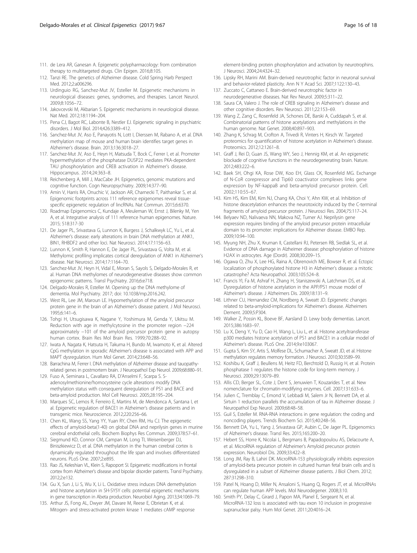- <span id="page-15-0"></span>111. de Lera AR, Ganesan A. Epigenetic polypharmacology: from combination therapy to multitargeted drugs. Clin Epigen. 2016;8:105.
- 112. Tanzi RE. The genetics of Alzheimer disease. Cold Spring Harb Perspect Med. 2012;2:a006296.
- 113. Urdinguio RG, Sanchez-Mut JV, Esteller M. Epigenetic mechanisms in neurological diseases: genes, syndromes, and therapies. Lancet Neurol. 2009;8:1056–72.
- 114. Jakovcevski M, Akbarian S. Epigenetic mechanisms in neurological disease. Nat Med. 2012;18:1194–204.
- 115. Pena CJ, Bagot RC, Labonte B, Nestler EJ. Epigenetic signaling in psychiatric disorders. J Mol Biol. 2014;426:3389–412.
- 116. Sanchez-Mut JV, Aso E, Panayotis N, Lott I, Dierssen M, Rabano A, et al. DNA methylation map of mouse and human brain identifies target genes in Alzheimer's disease. Brain. 2013;136:3018–27.
- 117. Sanchez-Mut JV, Aso E, Heyn H, Matsuda T, Bock C, Ferrer I, et al. Promoter hypermethylation of the phosphatase DUSP22 mediates PKA-dependent TAU phosphorylation and CREB activation in Alzheimer's disease. Hippocampus. 2014;24:363–8.
- 118. Reichenberg A, Mill J, MacCabe JH. Epigenetics, genomic mutations and cognitive function. Cogn Neuropsychiatry. 2009;14:377–90.
- 119. Amin V, Harris RA, Onuchic V, Jackson AR, Charnecki T, Paithankar S, et al. Epigenomic footprints across 111 reference epigenomes reveal tissuespecific epigenetic regulation of lincRNAs. Nat Commun. 2015;6:6370.
- 120. Roadmap Epigenomics C, Kundaje A, Meuleman W, Ernst J, Bilenky M, Yen A, et al. Integrative analysis of 111 reference human epigenomes. Nature. 2015; 518:317-30
- 121. De Jager PL, Srivastava G, Lunnon K, Burgess J, Schalkwyk LC, Yu L, et al. Alzheimer's disease: early alterations in brain DNA methylation at ANK1, BIN1, RHBDF2 and other loci. Nat Neurosci. 2014;17:1156–63.
- 122. Lunnon K, Smith R, Hannon E, De Jager PL, Srivastava G, Volta M, et al. Methylomic profiling implicates cortical deregulation of ANK1 in Alzheimer's disease. Nat Neurosci. 2014;17:1164–70.
- 123. Sanchez-Mut JV, Heyn H, Vidal E, Moran S, Sayols S, Delgado-Morales R, et al. Human DNA methylomes of neurodegenerative diseases show common epigenomic patterns. Transl Psychiatry. 2016;6:e718.
- 124. Delgado-Morales R, Esteller M. Opening up the DNA methylome of dementia. Mol Psychiatry. 2017; doi: [10.1038/mp.2016.242.](http://dx.doi.org/10.1038/mp.2016.242)
- 125. West RL, Lee JM, Maroun LE. Hypomethylation of the amyloid precursor protein gene in the brain of an Alzheimer's disease patient. J Mol Neurosci. 1995;6:141–6.
- 126. Tohgi H, Utsugisawa K, Nagane Y, Yoshimura M, Genda Y, Ukitsu M. Reduction with age in methylcytosine in the promoter region −224 approximately −101 of the amyloid precursor protein gene in autopsy human cortex. Brain Res Mol Brain Res. 1999;70:288–92.
- 127. Iwata A, Nagata K, Hatsuta H, Takuma H, Bundo M, Iwamoto K, et al. Altered CpG methylation in sporadic Alzheimer's disease is associated with APP and MAPT dysregulation. Hum Mol Genet. 2014;23:648–56.
- 128. Barrachina M, Ferrer I. DNA methylation of Alzheimer disease and tauopathyrelated genes in postmortem brain. J Neuropathol Exp Neurol. 2009;68:880–91.
- 129. Fuso A, Seminara L, Cavallaro RA, D'Anselmi F, Scarpa S. Sadenosylmethionine/homocysteine cycle alterations modify DNA methylation status with consequent deregulation of PS1 and BACE and beta-amyloid production. Mol Cell Neurosci. 2005;28:195–204.
- 130. Marques SC, Lemos R, Ferreiro E, Martins M, de Mendonca A, Santana I, et al. Epigenetic regulation of BACE1 in Alzheimer's disease patients and in transgenic mice. Neuroscience. 2012;220:256–66.
- 131. Chen KL, Wang SS, Yang YY, Yuan RY, Chen RM, Hu CJ. The epigenetic effects of amyloid-beta(1-40) on global DNA and neprilysin genes in murine cerebral endothelial cells. Biochem Biophys Res Commun. 2009;378:57–61.
- 132. Siegmund KD, Connor CM, Campan M, Long TI, Weisenberger DJ, Biniszkiewicz D, et al. DNA methylation in the human cerebral cortex is dynamically regulated throughout the life span and involves differentiated neurons. PLoS One. 2007;2:e895.
- 133. Rao JS, Keleshian VL, Klein S, Rapoport SI. Epigenetic modifications in frontal cortex from Alzheimer's disease and bipolar disorder patients. Transl Psychiatry. 2012;2:e132.
- 134. Gu X, Sun J, Li S, Wu X, Li L. Oxidative stress induces DNA demethylation and histone acetylation in SH-SY5Y cells: potential epigenetic mechanisms in gene transcription in Abeta production. Neurobiol Aging. 2013;34:1069–79.
- 135. Arthur JS, Fong AL, Dwyer JM, Davare M, Reese E, Obrietan K, et al. Mitogen- and stress-activated protein kinase 1 mediates cAMP response

element-binding protein phosphorylation and activation by neurotrophins. J Neurosci. 2004;24:4324–32.

- 136. Lipsky RH, Marini AM. Brain-derived neurotrophic factor in neuronal survival and behavior-related plasticity. Ann N Y Acad Sci. 2007;1122:130–43.
- 137. Zuccato C, Cattaneo E. Brain-derived neurotrophic factor in neurodegenerative diseases. Nat Rev Neurol. 2009;5:311–22.
- 138. Saura CA, Valero J. The role of CREB signaling in Alzheimer's disease and other cognitive disorders. Rev Neurosci. 2011;22:153–69.
- 139. Wang Z, Zang C, Rosenfeld JA, Schones DE, Barski A, Cuddapah S, et al. Combinatorial patterns of histone acetylations and methylations in the human genome. Nat Genet. 2008;40:897–903.
- 140. Zhang K, Schrag M, Crofton A, Trivedi R, Vinters H, Kirsch W. Targeted proteomics for quantification of histone acetylation in Alzheimer's disease. Proteomics. 2012;12:1261–8.
- 141. Graff J, Rei D, Guan JS, Wang WY, Seo J, Hennig KM, et al. An epigenetic blockade of cognitive functions in the neurodegenerating brain. Nature. 2012;483:222–6.
- 142. Baek SH, Ohgi KA, Rose DW, Koo EH, Glass CK, Rosenfeld MG. Exchange of N-CoR corepressor and Tip60 coactivator complexes links gene expression by NF-kappaB and beta-amyloid precursor protein. Cell. 2002;110:55–67.
- 143. Kim HS, Kim EM, Kim NJ, Chang KA, Choi Y, Ahn KW, et al. Inhibition of histone deacetylation enhances the neurotoxicity induced by the C-terminal fragments of amyloid precursor protein. J Neurosci Res. 2004;75:117–24.
- 144. Belyaev ND, Nalivaeva NN, Makova NZ, Turner AJ. Neprilysin gene expression requires binding of the amyloid precursor protein intracellular domain to its promoter: implications for Alzheimer disease. EMBO Rep. 2009;10:94–100.
- 145. Myung NH, Zhu X, Kruman II, Castellani RJ, Petersen RB, Siedlak SL, et al. Evidence of DNA damage in Alzheimer disease: phosphorylation of histone H2AX in astrocytes. Age (Dordr). 2008;30:209–15.
- 146. Ogawa O, Zhu X, Lee HG, Raina A, Obrenovich ME, Bowser R, et al. Ectopic localization of phosphorylated histone H3 in Alzheimer's disease: a mitotic catastrophe? Acta Neuropathol. 2003;105:524–8.
- 147. Francis YI, Fa M, Ashraf H, Zhang H, Staniszewski A, Latchman DS, et al. Dysregulation of histone acetylation in the APP/PS1 mouse model of Alzheimer's disease. J Alzheimers Dis. 2009;18:131–9.
- 148. Lithner CU, Hernandez CM, Nordberg A, Sweatt JD. Epigenetic changes related to beta-amyloid-implications for Alzheimer's disease. Alzheimers Dement. 2009;5:P304.
- 149. Walker Z, Possin KL, Boeve BF, Aarsland D. Lewy body dementias. Lancet. 2015;386:1683–97.
- 150. Lu X, Deng Y, Yu D, Cao H, Wang L, Liu L, et al. Histone acetyltransferase p300 mediates histone acetylation of PS1 and BACE1 in a cellular model of Alzheimer's disease. PLoS One. 2014;9:e103067.
- 151. Gupta S, Kim SY, Artis S, Molfese DL, Schumacher A, Sweatt JD, et al. Histone methylation regulates memory formation. J Neurosci. 2010;30:3589–99.
- 152. Koshibu K, Graff J, Beullens M, Heitz FD, Berchtold D, Russig H, et al. Protein phosphatase 1 regulates the histone code for long-term memory. J Neurosci. 2009;29:13079–89.
- 153. Allis CD, Berger SL, Cote J, Dent S, Jenuwien T, Kouzarides T, et al. New nomenclature for chromatin-modifying enzymes. Cell. 2007;131:633–6.
- 154. Julien C, Tremblay C, Emond V, Lebbadi M, Salem Jr N, Bennett DA, et al. Sirtuin 1 reduction parallels the accumulation of tau in Alzheimer disease. J Neuropathol Exp Neurol. 2009;68:48–58.
- 155. Guil S, Esteller M. RNA-RNA interactions in gene regulation: the coding and noncoding players. Trends Biochem Sci. 2015;40:248–56.
- 156. Bennett DA, Yu L, Yang J, Srivastava GP, Aubin C, De Jager PL. Epigenomics of Alzheimer's disease. Transl Res. 2015;165:200–20.
- 157. Hebert SS, Horre K, Nicolai L, Bergmans B, Papadopoulou AS, Delacourte A, et al. MicroRNA regulation of Alzheimer's Amyloid precursor protein expression. Neurobiol Dis. 2009;33:422–8.
- 158. Long JM, Ray B, Lahiri DK. MicroRNA-153 physiologically inhibits expression of amyloid-beta precursor protein in cultured human fetal brain cells and is dysregulated in a subset of Alzheimer disease patients. J Biol Chem. 2012; 287:31298–310.
- 159. Patel N, Hoang D, Miller N, Ansaloni S, Huang Q, Rogers JT, et al. MicroRNAs can regulate human APP levels. Mol Neurodegener. 2008;3:10.
- 160. Smith PY, Delay C, Girard J, Papon MA, Planel E, Sergeant N, et al. MicroRNA-132 loss is associated with tau exon 10 inclusion in progressive supranuclear palsy. Hum Mol Genet. 2011;20:4016–24.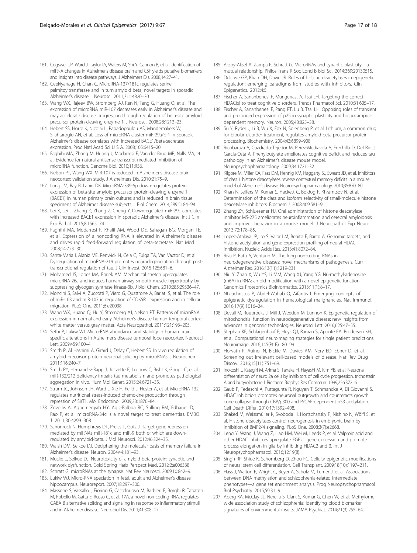- <span id="page-16-0"></span>161. Cogswell JP, Ward J, Taylor IA, Waters M, Shi Y, Cannon B, et al. Identification of miRNA changes in Alzheimer's disease brain and CSF yields putative biomarkers and insights into disease pathways. J Alzheimers Dis. 2008;14:27–41.
- 162. Geekiyanage H, Chan C. MicroRNA-137/181c regulates serine palmitoyltransferase and in turn amyloid beta, novel targets in sporadic Alzheimer's disease. J Neurosci. 2011;31:14820–30.
- 163. Wang WX, Rajeev BW, Stromberg AJ, Ren N, Tang G, Huang Q, et al. The expression of microRNA miR-107 decreases early in Alzheimer's disease and may accelerate disease progression through regulation of beta-site amyloid precursor protein-cleaving enzyme 1. J Neurosci. 2008;28:1213–23.
- 164. Hebert SS, Horre K, Nicolai L, Papadopoulou AS, Mandemakers W, Silahtaroglu AN, et al. Loss of microRNA cluster miR-29a/b-1 in sporadic Alzheimer's disease correlates with increased BACE1/beta-secretase expression. Proc Natl Acad Sci U S A. 2008;105:6415–20.
- 165. Faghihi MA, Zhang M, Huang J, Modarresi F, Van der Brug MP, Nalls MA, et al. Evidence for natural antisense transcript-mediated inhibition of microRNA function. Genome Biol. 2010;11:R56.
- 166. Nelson PT, Wang WX. MiR-107 is reduced in Alzheimer's disease brain neocortex: validation study. J Alzheimers Dis. 2010;21:75–9.
- 167. Long JM, Ray B, Lahiri DK. MicroRNA-339-5p down-regulates protein expression of beta-site amyloid precursor protein-cleaving enzyme 1 (BACE1) in human primary brain cultures and is reduced in brain tissue specimens of Alzheimer disease subjects. J Biol Chem. 2014;289:5184–98.
- 168. Lei X, Lei L, Zhang Z, Zhang Z, Cheng Y. Downregulated miR-29c correlates with increased BACE1 expression in sporadic Alzheimer's disease. Int J Clin Exp Pathol. 2015;8:1565–74.
- 169. Faghihi MA, Modarresi F, Khalil AM, Wood DE, Sahagan BG, Morgan TE, et al. Expression of a noncoding RNA is elevated in Alzheimer's disease and drives rapid feed-forward regulation of beta-secretase. Nat Med. 2008;14:723–30.
- 170. Santa-Maria I, Alaniz ME, Renwick N, Cela C, Fulga TA, Van Vactor D, et al. Dysregulation of microRNA-219 promotes neurodegeneration through posttranscriptional regulation of tau. J Clin Invest. 2015;125:681–6.
- 171. Mohamed JS, Lopez MA, Boriek AM. Mechanical stretch up-regulates microRNA-26a and induces human airway smooth muscle hypertrophy by suppressing glycogen synthase kinase-3b. J Biol Chem. 2010;285:29336–47.
- 172. Moncini S, Salvi A, Zuccotti P, Viero G, Quattrone A, Barlati S, et al. The role of miR-103 and miR-107 in regulation of CDK5R1 expression and in cellular migration. PLoS One. 2011;6:e20038.
- 173. Wang WX, Huang Q, Hu Y, Stromberg AJ, Nelson PT. Patterns of microRNA expression in normal and early Alzheimer's disease human temporal cortex: white matter versus gray matter. Acta Neuropathol. 2011;121:193–205.
- 174. Sethi P, Lukiw WJ. Micro-RNA abundance and stability in human brain: specific alterations in Alzheimer's disease temporal lobe neocortex. Neurosci Lett. 2009;459:100–4.
- 175. Smith P, Al Hashimi A, Girard J, Delay C, Hebert SS. In vivo regulation of amyloid precursor protein neuronal splicing by microRNAs. J Neurochem. 2011;116:240–7.
- 176. Smith PY, Hernandez-Rapp J, Jolivette F, Lecours C, Bisht K, Goupil C, et al. miR-132/212 deficiency impairs tau metabolism and promotes pathological aggregation in vivo. Hum Mol Genet. 2015;24:6721–35.
- 177. Strum JC, Johnson JH, Ward J, Xie H, Feild J, Hester A, et al. MicroRNA 132 regulates nutritional stress-induced chemokine production through repression of SirT1. Mol Endocrinol. 2009;23:1876–84.
- 178. Zovoilis A, Agbemenyah HY, Agis-Balboa RC, Stilling RM, Edbauer D, Rao P, et al. microRNA-34c is a novel target to treat dementias. EMBO J. 2011;30:4299–308.
- 179. Schonrock N, Humphreys DT, Preiss T, Gotz J. Target gene repression mediated by miRNAs miR-181c and miR-9 both of which are downregulated by amyloid-beta. J Mol Neurosci. 2012;46:324–35.
- 180. Walsh DM, Selkoe DJ. Deciphering the molecular basis of memory failure in Alzheimer's disease. Neuron. 2004;44:181–93.
- 181. Mucke L, Selkoe DJ. Neurotoxicity of amyloid beta-protein: synaptic and network dysfunction. Cold Spring Harb Perspect Med. 2012;2:a006338.
- 182. Schratt G. microRNAs at the synapse. Nat Rev Neurosci. 2009;10:842–9. 183. Lukiw WJ. Micro-RNA speciation in fetal, adult and Alzheimer's disease hippocampus. Neuroreport. 2007;18:297–300.
- 184. Massone S, Vassallo I, Fiorino G, Castelnuovo M, Barbieri F, Borghi R, Tabaton M, Robello M, Gatta E, Russo C, et al. 17A, a novel non-coding RNA, regulates GABA B alternative splicing and signaling in response to inflammatory stimuli and in Alzheimer disease. Neurobiol Dis. 2011;41:308–17.
- 185. Aksoy-Aksel A, Zampa F, Schratt G. MicroRNAs and synaptic plasticity—a mutual relationship. Philos Trans R Soc Lond B Biol Sci. 2014;369:20130515.
- 186. Delcuve GP, Khan DH, Davie JR. Roles of histone deacetylases in epigenetic regulation: emerging paradigms from studies with inhibitors. Clin Epigenetics. 2012;4:5.
- 187. Fischer A, Sananbenesi F, Mungenast A, Tsai LH. Targeting the correct HDAC(s) to treat cognitive disorders. Trends Pharmacol Sci. 2010;31:605–17.
- 188. Fischer A, Sananbenesi F, Pang PT, Lu B, Tsai LH. Opposing roles of transient and prolonged expression of p25 in synaptic plasticity and hippocampusdependent memory. Neuron. 2005;48:825–38.
- 189. Su Y, Ryder J, Li B, Wu X, Fox N, Solenberg P, et al. Lithium, a common drug for bipolar disorder treatment, regulates amyloid-beta precursor protein processing. Biochemistry. 2004;43:6899–908.
- 190. Ricobaraza A, Cuadrado-Tejedor M, Perez-Mediavilla A, Frechilla D, Del Rio J, Garcia-Osta A. Phenylbutyrate ameliorates cognitive deficit and reduces tau pathology in an Alzheimer's disease mouse model. Neuropsychopharmacology. 2009;34:1721–32.
- 191. Kilgore M, Miller CA, Fass DM, Hennig KM, Haggarty SJ, Sweatt JD, et al. Inhibitors of class 1 histone deacetylases reverse contextual memory deficits in a mouse model of Alzheimer's disease. Neuropsychopharmacology. 2010;35:870–80.
- 192. Khan N, Jeffers M, Kumar S, Hackett C, Boldog F, Khramtsov N, et al. Determination of the class and isoform selectivity of small-molecule histone deacetylase inhibitors. Biochem J. 2008;409:581–9.
- 193. Zhang ZY, Schluesener HJ. Oral administration of histone deacetylase inhibitor MS-275 ameliorates neuroinflammation and cerebral amyloidosis and improves behavior in a mouse model. J Neuropathol Exp Neurol. 2013;72:178–85.
- 194. Lopez-Atalaya JP, Ito S, Valor LM, Benito E, Barco A. Genomic targets, and histone acetylation and gene expression profiling of neural HDAC inhibition. Nucleic Acids Res. 2013;41:8072–84.
- 195. Riva P, Ratti A, Venturin M. The long non-coding RNAs in neurodegenerative diseases: novel mechanisms of pathogenesis. Curr Alzheimer Res. 2016;13(11):1219-231.
- 196. Niu Y, Zhao X, Wu YS, Li MM, Wang XJ, Yang YG. N6-methyl-adenosine (m6A) in RNA: an old modification with a novel epigenetic function. Genomics Proteomics Bioinformatics. 2013;11(1):8–17.
- 197. Ntziachristos P, Abdel-Wahab O, Aifantis I. Emerging concepts of epigenetic dysregulation in hematological malignancies. Nat Immunol. 2016;17(9):1016–24.
- 198. Devall M, Roubroeks J, Mill J, Weedon M, Lunnon K. Epigenetic regulation of mitochondrial function in neurodegenerative disease: new insights from advances in genomic technologies. Neurosci Lett. 2016;625:47–55.
- 199. Stephan KE, Schlagenhauf F, Huys QJ, Raman S, Aponte EA, Brodersen KH, et al. Computational neuroimaging strategies for single patient predictions. Neuroimage. 2016;145(Pt B):180–99.
- 200. Horvath P, Aulner N, Bickle M, Davies AM, Nery ED, Ebner D, et al. Screening out irrelevant cell-based models of disease. Nat Rev Drug Discov. 2016;15(11):751–69.
- 201. Inokoshi J, Katagiri M, Arima S, Tanaka H, Hayashi M, Kim YB, et al. Neuronal differentiation of neuro 2a cells by inhibitors of cell cycle progression, trichostatin A and butyrolactone I. Biochem Biophys Res Commun. 1999;256:372–6.
- 202. Gaub P, Tedeschi A, Puttagunta R, Nguyen T, Schmandke A, Di Giovanni S. HDAC inhibition promotes neuronal outgrowth and counteracts growth cone collapse through CBP/p300 and P/CAF-dependent p53 acetylation. Cell Death Differ. 2010;17:1392–408.
- 203. Shakèd M, Weissmüller K, Svoboda H, Hortschansky P, Nishino N, Wölfl S, et al. Histone deacetylases control neurogenesis in embryonic brain by inhibition of BMP2/4 signaling. PLoS One. 2008;3(7):e2668.
- 204. Leng Y, Wang J, Wang Z, Liao HM, Wei M, Leeds P, et al. Valproic acid and other HDAC inhibitors upregulate FGF21 gene expression and promote process elongation in glia by inhibiting HDAC2 and 3. Int J Neuropsychopharmacol. 2016;12:19(8).
- 205. Singh RP, Shiue K, Schomberg D, Zhou FC. Cellular epigenetic modifications of neural stem cell differentiation. Cell Transplant. 2009;18(10):1197–211.
- 206. Hass J, Walton E, Wright C, Beyer A, Scholz M, Turner J, et al. Associations between DNA methylation and schizophrenia-related intermediate phenotypes—a gene set enrichment analysis. Prog Neuropsychopharmacol Biol Psychiatry. 2015;59:31–9.
- 207. Aberg KA, McClay JL, Nerella S, Clark S, Kumar G, Chen W, et al. Methylomewide association study of schizophrenia: identifying blood biomarker signatures of environmental insults. JAMA Psychiat. 2014;71(3):255–64.